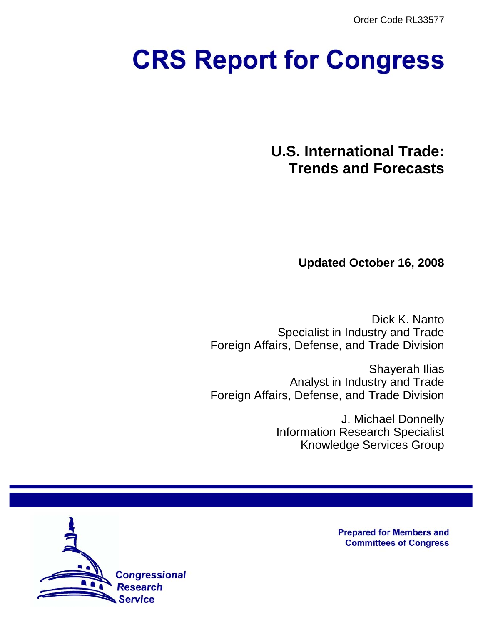Order Code RL33577

# **CRS Report for Congress**

**U.S. International Trade: Trends and Forecasts**

**Updated October 16, 2008**

Dick K. Nanto Specialist in Industry and Trade Foreign Affairs, Defense, and Trade Division

Shayerah Ilias Analyst in Industry and Trade Foreign Affairs, Defense, and Trade Division

> J. Michael Donnelly Information Research Specialist Knowledge Services Group



**Prepared for Members and Committees of Congress**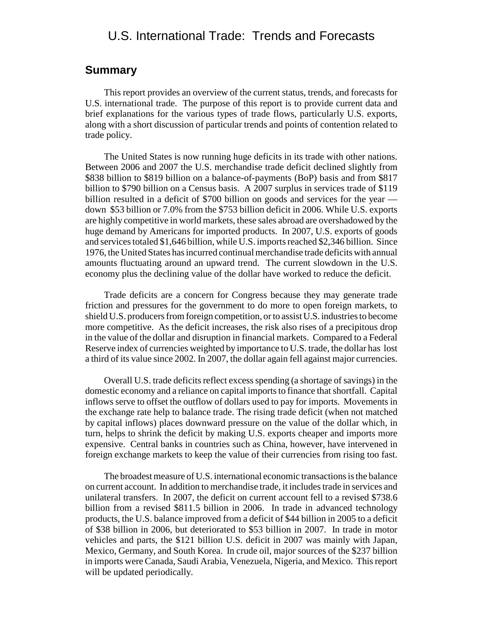### **Summary**

This report provides an overview of the current status, trends, and forecasts for U.S. international trade. The purpose of this report is to provide current data and brief explanations for the various types of trade flows, particularly U.S. exports, along with a short discussion of particular trends and points of contention related to trade policy.

The United States is now running huge deficits in its trade with other nations. Between 2006 and 2007 the U.S. merchandise trade deficit declined slightly from \$838 billion to \$819 billion on a balance-of-payments (BoP) basis and from \$817 billion to \$790 billion on a Census basis. A 2007 surplus in services trade of \$119 billion resulted in a deficit of \$700 billion on goods and services for the year down \$53 billion or 7.0% from the \$753 billion deficit in 2006. While U.S. exports are highly competitive in world markets, these sales abroad are overshadowed by the huge demand by Americans for imported products. In 2007, U.S. exports of goods and services totaled \$1,646 billion, while U.S. imports reached \$2,346 billion. Since 1976, the United States has incurred continual merchandise trade deficits with annual amounts fluctuating around an upward trend. The current slowdown in the U.S. economy plus the declining value of the dollar have worked to reduce the deficit.

Trade deficits are a concern for Congress because they may generate trade friction and pressures for the government to do more to open foreign markets, to shield U.S. producers from foreign competition, or to assist U.S. industries to become more competitive. As the deficit increases, the risk also rises of a precipitous drop in the value of the dollar and disruption in financial markets. Compared to a Federal Reserve index of currencies weighted by importance to U.S. trade, the dollar has lost a third of its value since 2002. In 2007, the dollar again fell against major currencies.

Overall U.S. trade deficits reflect excess spending (a shortage of savings) in the domestic economy and a reliance on capital imports to finance that shortfall. Capital inflows serve to offset the outflow of dollars used to pay for imports. Movements in the exchange rate help to balance trade. The rising trade deficit (when not matched by capital inflows) places downward pressure on the value of the dollar which, in turn, helps to shrink the deficit by making U.S. exports cheaper and imports more expensive. Central banks in countries such as China, however, have intervened in foreign exchange markets to keep the value of their currencies from rising too fast.

The broadest measure of U.S. international economic transactions is the balance on current account. In addition to merchandise trade, it includes trade in services and unilateral transfers. In 2007, the deficit on current account fell to a revised \$738.6 billion from a revised \$811.5 billion in 2006. In trade in advanced technology products, the U.S. balance improved from a deficit of \$44 billion in 2005 to a deficit of \$38 billion in 2006, but deteriorated to \$53 billion in 2007. In trade in motor vehicles and parts, the \$121 billion U.S. deficit in 2007 was mainly with Japan, Mexico, Germany, and South Korea. In crude oil, major sources of the \$237 billion in imports were Canada, Saudi Arabia, Venezuela, Nigeria, and Mexico. This report will be updated periodically.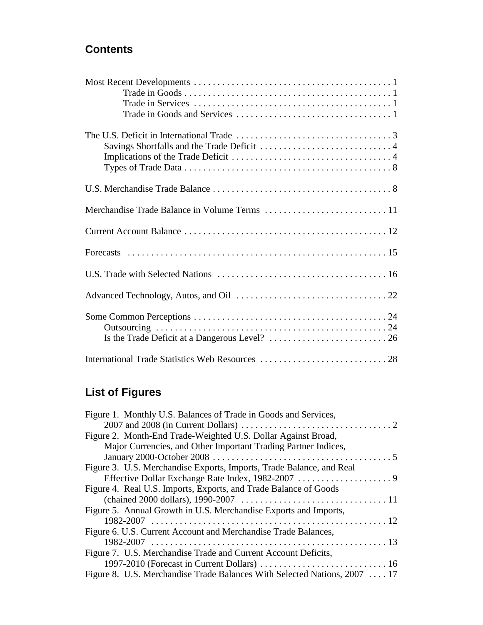# **Contents**

# **List of Figures**

| Figure 1. Monthly U.S. Balances of Trade in Goods and Services,           |
|---------------------------------------------------------------------------|
|                                                                           |
| Figure 2. Month-End Trade-Weighted U.S. Dollar Against Broad,             |
| Major Currencies, and Other Important Trading Partner Indices,            |
|                                                                           |
| Figure 3. U.S. Merchandise Exports, Imports, Trade Balance, and Real      |
|                                                                           |
| Figure 4. Real U.S. Imports, Exports, and Trade Balance of Goods          |
|                                                                           |
| Figure 5. Annual Growth in U.S. Merchandise Exports and Imports,          |
|                                                                           |
| Figure 6. U.S. Current Account and Merchandise Trade Balances,            |
|                                                                           |
| Figure 7. U.S. Merchandise Trade and Current Account Deficits,            |
|                                                                           |
| Figure 8. U.S. Merchandise Trade Balances With Selected Nations, 2007  17 |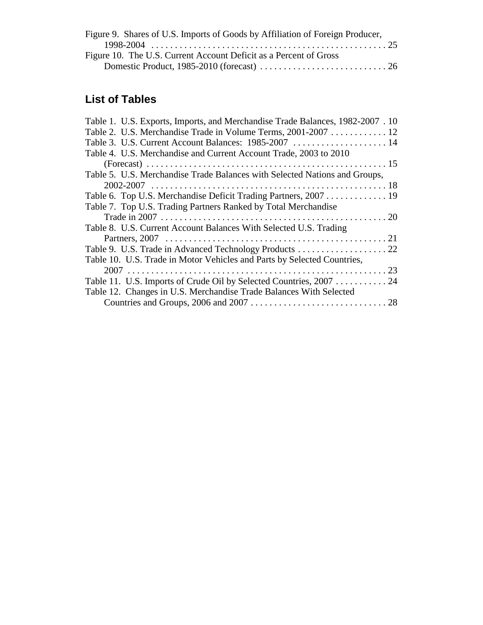| Figure 9. Shares of U.S. Imports of Goods by Affiliation of Foreign Producer, |  |
|-------------------------------------------------------------------------------|--|
|                                                                               |  |
| Figure 10. The U.S. Current Account Deficit as a Percent of Gross             |  |
|                                                                               |  |

# **List of Tables**

| Table 1. U.S. Exports, Imports, and Merchandise Trade Balances, 1982-2007. 10 |  |
|-------------------------------------------------------------------------------|--|
| Table 2. U.S. Merchandise Trade in Volume Terms, 2001-2007  12                |  |
| Table 3. U.S. Current Account Balances: 1985-2007  14                         |  |
| Table 4. U.S. Merchandise and Current Account Trade, 2003 to 2010             |  |
|                                                                               |  |
| Table 5. U.S. Merchandise Trade Balances with Selected Nations and Groups,    |  |
|                                                                               |  |
| Table 6. Top U.S. Merchandise Deficit Trading Partners, 2007 19               |  |
| Table 7. Top U.S. Trading Partners Ranked by Total Merchandise                |  |
|                                                                               |  |
| Table 8. U.S. Current Account Balances With Selected U.S. Trading             |  |
|                                                                               |  |
|                                                                               |  |
| Table 10. U.S. Trade in Motor Vehicles and Parts by Selected Countries,       |  |
|                                                                               |  |
| Table 11. U.S. Imports of Crude Oil by Selected Countries, 2007  24           |  |
| Table 12. Changes in U.S. Merchandise Trade Balances With Selected            |  |
|                                                                               |  |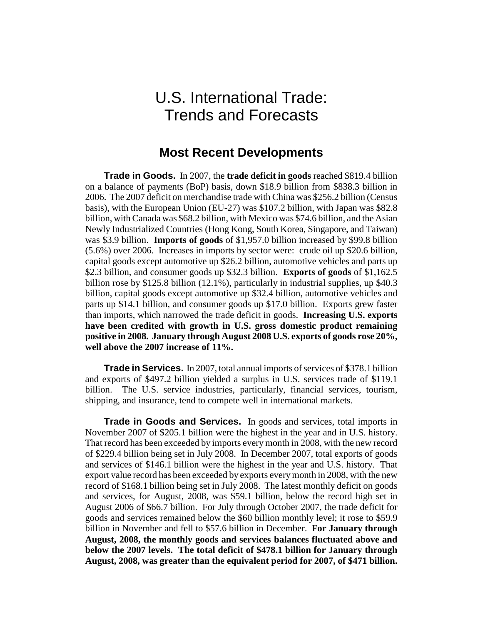# U.S. International Trade: Trends and Forecasts

# **Most Recent Developments**

**Trade in Goods.** In 2007, the **trade deficit in goods** reached \$819.4 billion on a balance of payments (BoP) basis, down \$18.9 billion from \$838.3 billion in 2006. The 2007 deficit on merchandise trade with China was \$256.2 billion (Census basis), with the European Union (EU-27) was \$107.2 billion, with Japan was \$82.8 billion, with Canada was \$68.2 billion, with Mexico was \$74.6 billion, and the Asian Newly Industrialized Countries (Hong Kong, South Korea, Singapore, and Taiwan) was \$3.9 billion. **Imports of goods** of \$1,957.0 billion increased by \$99.8 billion (5.6%) over 2006. Increases in imports by sector were: crude oil up \$20.6 billion, capital goods except automotive up \$26.2 billion, automotive vehicles and parts up \$2.3 billion, and consumer goods up \$32.3 billion. **Exports of goods** of \$1,162.5 billion rose by \$125.8 billion (12.1%), particularly in industrial supplies, up \$40.3 billion, capital goods except automotive up \$32.4 billion, automotive vehicles and parts up \$14.1 billion, and consumer goods up \$17.0 billion. Exports grew faster than imports, which narrowed the trade deficit in goods. **Increasing U.S. exports have been credited with growth in U.S. gross domestic product remaining positive in 2008. January through August 2008 U.S. exports of goods rose 20%, well above the 2007 increase of 11%.** 

**Trade in Services.** In 2007, total annual imports of services of \$378.1 billion and exports of \$497.2 billion yielded a surplus in U.S. services trade of \$119.1 billion. The U.S. service industries, particularly, financial services, tourism, shipping, and insurance, tend to compete well in international markets.

**Trade in Goods and Services.** In goods and services, total imports in November 2007 of \$205.1 billion were the highest in the year and in U.S. history. That record has been exceeded by imports every month in 2008, with the new record of \$229.4 billion being set in July 2008. In December 2007, total exports of goods and services of \$146.1 billion were the highest in the year and U.S. history. That export value record has been exceeded by exports every month in 2008, with the new record of \$168.1 billion being set in July 2008. The latest monthly deficit on goods and services, for August, 2008, was \$59.1 billion, below the record high set in August 2006 of \$66.7 billion. For July through October 2007, the trade deficit for goods and services remained below the \$60 billion monthly level; it rose to \$59.9 billion in November and fell to \$57.6 billion in December. **For January through August, 2008, the monthly goods and services balances fluctuated above and below the 2007 levels. The total deficit of \$478.1 billion for January through August, 2008, was greater than the equivalent period for 2007, of \$471 billion.**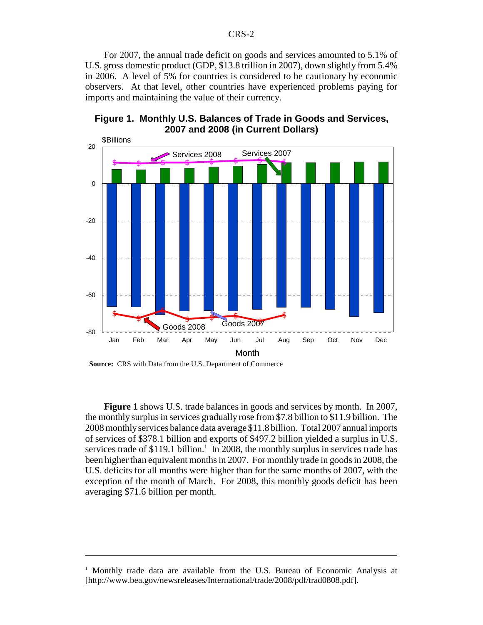For 2007, the annual trade deficit on goods and services amounted to 5.1% of U.S. gross domestic product (GDP, \$13.8 trillion in 2007), down slightly from 5.4% in 2006. A level of 5% for countries is considered to be cautionary by economic observers. At that level, other countries have experienced problems paying for imports and maintaining the value of their currency.





**Source:** CRS with Data from the U.S. Department of Commerce

**Figure 1** shows U.S. trade balances in goods and services by month. In 2007, the monthly surplus in services gradually rose from \$7.8 billion to \$11.9 billion. The 2008 monthly services balance data average \$11.8 billion. Total 2007 annual imports of services of \$378.1 billion and exports of \$497.2 billion yielded a surplus in U.S. services trade of  $$119.1$  billion.<sup>1</sup> In 2008, the monthly surplus in services trade has been higher than equivalent months in 2007. For monthly trade in goods in 2008, the U.S. deficits for all months were higher than for the same months of 2007, with the exception of the month of March. For 2008, this monthly goods deficit has been averaging \$71.6 billion per month.

<sup>&</sup>lt;sup>1</sup> Monthly trade data are available from the U.S. Bureau of Economic Analysis at [http://www.bea.gov/newsreleases/International/trade/2008/pdf/trad0808.pdf].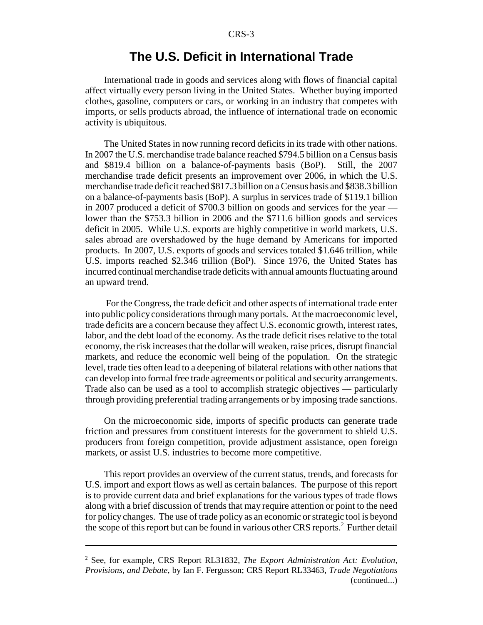# **The U.S. Deficit in International Trade**

International trade in goods and services along with flows of financial capital affect virtually every person living in the United States. Whether buying imported clothes, gasoline, computers or cars, or working in an industry that competes with imports, or sells products abroad, the influence of international trade on economic activity is ubiquitous.

The United States in now running record deficits in its trade with other nations. In 2007 the U.S. merchandise trade balance reached \$794.5 billion on a Census basis and \$819.4 billion on a balance-of-payments basis (BoP). Still, the 2007 merchandise trade deficit presents an improvement over 2006, in which the U.S. merchandise trade deficit reached \$817.3 billion on a Census basis and \$838.3 billion on a balance-of-payments basis (BoP). A surplus in services trade of \$119.1 billion in 2007 produced a deficit of \$700.3 billion on goods and services for the year lower than the \$753.3 billion in 2006 and the \$711.6 billion goods and services deficit in 2005. While U.S. exports are highly competitive in world markets, U.S. sales abroad are overshadowed by the huge demand by Americans for imported products. In 2007, U.S. exports of goods and services totaled \$1.646 trillion, while U.S. imports reached \$2.346 trillion (BoP). Since 1976, the United States has incurred continual merchandise trade deficits with annual amounts fluctuating around an upward trend.

 For the Congress, the trade deficit and other aspects of international trade enter into public policy considerations through many portals. At the macroeconomic level, trade deficits are a concern because they affect U.S. economic growth, interest rates, labor, and the debt load of the economy. As the trade deficit rises relative to the total economy, the risk increases that the dollar will weaken, raise prices, disrupt financial markets, and reduce the economic well being of the population. On the strategic level, trade ties often lead to a deepening of bilateral relations with other nations that can develop into formal free trade agreements or political and security arrangements. Trade also can be used as a tool to accomplish strategic objectives — particularly through providing preferential trading arrangements or by imposing trade sanctions.

On the microeconomic side, imports of specific products can generate trade friction and pressures from constituent interests for the government to shield U.S. producers from foreign competition, provide adjustment assistance, open foreign markets, or assist U.S. industries to become more competitive.

This report provides an overview of the current status, trends, and forecasts for U.S. import and export flows as well as certain balances. The purpose of this report is to provide current data and brief explanations for the various types of trade flows along with a brief discussion of trends that may require attention or point to the need for policy changes. The use of trade policy as an economic or strategic tool is beyond the scope of this report but can be found in various other CRS reports.<sup>2</sup> Further detail

<sup>2</sup> See, for example, CRS Report RL31832, *The Export Administration Act: Evolution, Provisions, and Debate*, by Ian F. Fergusson; CRS Report RL33463, *Trade Negotiations* (continued...)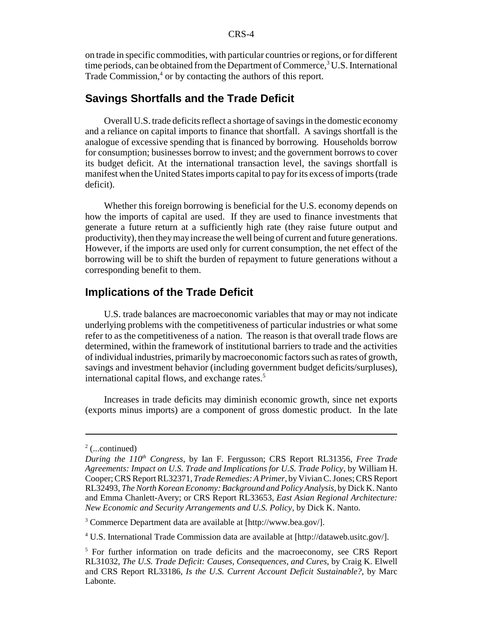on trade in specific commodities, with particular countries or regions, or for different time periods, can be obtained from the Department of Commerce,<sup>3</sup> U.S. International Trade Commission,<sup>4</sup> or by contacting the authors of this report.

## **Savings Shortfalls and the Trade Deficit**

Overall U.S. trade deficits reflect a shortage of savings in the domestic economy and a reliance on capital imports to finance that shortfall. A savings shortfall is the analogue of excessive spending that is financed by borrowing. Households borrow for consumption; businesses borrow to invest; and the government borrows to cover its budget deficit. At the international transaction level, the savings shortfall is manifest when the United States imports capital to pay for its excess of imports (trade deficit).

Whether this foreign borrowing is beneficial for the U.S. economy depends on how the imports of capital are used. If they are used to finance investments that generate a future return at a sufficiently high rate (they raise future output and productivity), then they may increase the well being of current and future generations. However, if the imports are used only for current consumption, the net effect of the borrowing will be to shift the burden of repayment to future generations without a corresponding benefit to them.

### **Implications of the Trade Deficit**

U.S. trade balances are macroeconomic variables that may or may not indicate underlying problems with the competitiveness of particular industries or what some refer to as the competitiveness of a nation. The reason is that overall trade flows are determined, within the framework of institutional barriers to trade and the activities of individual industries, primarily by macroeconomic factors such as rates of growth, savings and investment behavior (including government budget deficits/surpluses), international capital flows, and exchange rates.<sup>5</sup>

Increases in trade deficits may diminish economic growth, since net exports (exports minus imports) are a component of gross domestic product. In the late

<sup>3</sup> Commerce Department data are available at [http://www.bea.gov/].

<sup>4</sup> U.S. International Trade Commission data are available at [http://dataweb.usitc.gov/].

 $2$  (...continued)

*During the 110<sup>th</sup> Congress*, by Ian F. Fergusson; CRS Report RL31356, *Free Trade Agreements: Impact on U.S. Trade and Implications for U.S. Trade Policy*, by William H. Cooper; CRS Report RL32371, *Trade Remedies: A Primer*, by Vivian C. Jones; CRS Report RL32493, *The North Korean Economy: Background and Policy Analysis*, by Dick K. Nanto and Emma Chanlett-Avery; or CRS Report RL33653, *East Asian Regional Architecture: New Economic and Security Arrangements and U.S. Policy*, by Dick K. Nanto.

<sup>&</sup>lt;sup>5</sup> For further information on trade deficits and the macroeconomy, see CRS Report RL31032, *The U.S. Trade Deficit: Causes, Consequences, and Cures*, by Craig K. Elwell and CRS Report RL33186, *Is the U.S. Current Account Deficit Sustainable?*, by Marc Labonte.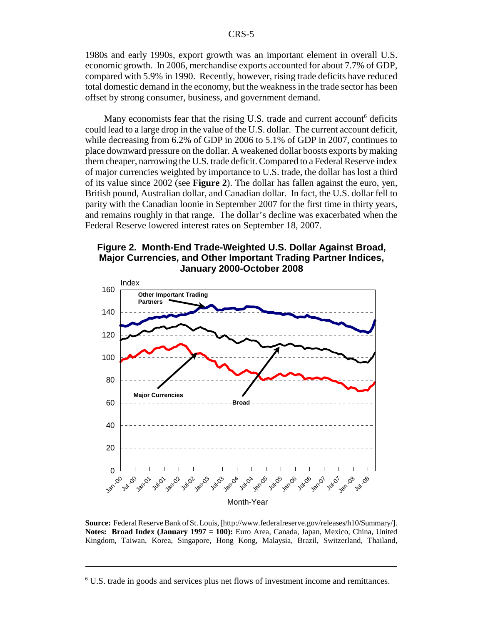1980s and early 1990s, export growth was an important element in overall U.S. economic growth. In 2006, merchandise exports accounted for about 7.7% of GDP, compared with 5.9% in 1990. Recently, however, rising trade deficits have reduced total domestic demand in the economy, but the weakness in the trade sector has been offset by strong consumer, business, and government demand.

Many economists fear that the rising U.S. trade and current account<sup>6</sup> deficits could lead to a large drop in the value of the U.S. dollar. The current account deficit, while decreasing from 6.2% of GDP in 2006 to 5.1% of GDP in 2007, continues to place downward pressure on the dollar. A weakened dollar boosts exports by making them cheaper, narrowing the U.S. trade deficit. Compared to a Federal Reserve index of major currencies weighted by importance to U.S. trade, the dollar has lost a third of its value since 2002 (see **Figure 2**). The dollar has fallen against the euro, yen, British pound, Australian dollar, and Canadian dollar. In fact, the U.S. dollar fell to parity with the Canadian loonie in September 2007 for the first time in thirty years, and remains roughly in that range. The dollar's decline was exacerbated when the Federal Reserve lowered interest rates on September 18, 2007.





**Source:** Federal Reserve Bank of St. Louis, [http://www.federalreserve.gov/releases/h10/Summary/]. **Notes: Broad Index (January 1997 = 100):** Euro Area, Canada, Japan, Mexico, China, United Kingdom, Taiwan, Korea, Singapore, Hong Kong, Malaysia, Brazil, Switzerland, Thailand,

<sup>&</sup>lt;sup>6</sup> U.S. trade in goods and services plus net flows of investment income and remittances.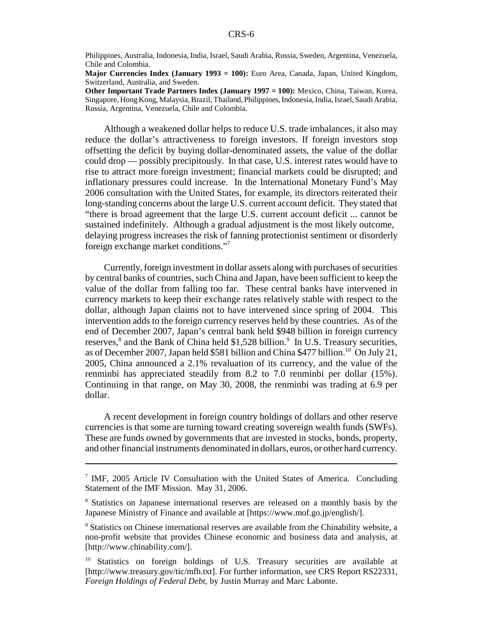Philippines, Australia, Indonesia, India, Israel, Saudi Arabia, Russia, Sweden, Argentina, Venezuela, Chile and Colombia.

**Major Currencies Index (January 1993 = 100):** Euro Area, Canada, Japan, United Kingdom, Switzerland, Australia, and Sweden.

**Other Important Trade Partners Index (January 1997 = 100):** Mexico, China, Taiwan, Korea, Singapore, Hong Kong, Malaysia, Brazil, Thailand, Philippines, Indonesia, India, Israel, Saudi Arabia, Russia, Argentina, Venezuela, Chile and Colombia.

Although a weakened dollar helps to reduce U.S. trade imbalances, it also may reduce the dollar's attractiveness to foreign investors. If foreign investors stop offsetting the deficit by buying dollar-denominated assets, the value of the dollar could drop — possibly precipitously. In that case, U.S. interest rates would have to rise to attract more foreign investment; financial markets could be disrupted; and inflationary pressures could increase. In the International Monetary Fund's May 2006 consultation with the United States, for example, its directors reiterated their long-standing concerns about the large U.S. current account deficit. They stated that "there is broad agreement that the large U.S. current account deficit ... cannot be sustained indefinitely. Although a gradual adjustment is the most likely outcome, delaying progress increases the risk of fanning protectionist sentiment or disorderly foreign exchange market conditions."7

Currently, foreign investment in dollar assets along with purchases of securities by central banks of countries, such China and Japan, have been sufficient to keep the value of the dollar from falling too far. These central banks have intervened in currency markets to keep their exchange rates relatively stable with respect to the dollar, although Japan claims not to have intervened since spring of 2004. This intervention adds to the foreign currency reserves held by these countries. As of the end of December 2007, Japan's central bank held \$948 billion in foreign currency reserves,<sup>8</sup> and the Bank of China held \$1,528 billion.<sup>9</sup> In U.S. Treasury securities, as of December 2007, Japan held \$581 billion and China \$477 billion.<sup>10</sup> On July 21, 2005, China announced a 2.1% revaluation of its currency, and the value of the renminbi has appreciated steadily from 8.2 to 7.0 renminbi per dollar (15%). Continuing in that range, on May 30, 2008, the renminbi was trading at 6.9 per dollar.

A recent development in foreign country holdings of dollars and other reserve currencies is that some are turning toward creating sovereign wealth funds (SWFs). These are funds owned by governments that are invested in stocks, bonds, property, and other financial instruments denominated in dollars, euros, or other hard currency.

<sup>&</sup>lt;sup>7</sup> IMF, 2005 Article IV Consultation with the United States of America. Concluding Statement of the IMF Mission. May 31, 2006.

<sup>&</sup>lt;sup>8</sup> Statistics on Japanese international reserves are released on a monthly basis by the Japanese Ministry of Finance and available at [https://www.mof.go.jp/english/].

<sup>&</sup>lt;sup>9</sup> Statistics on Chinese international reserves are available from the Chinability website, a non-profit website that provides Chinese economic and business data and analysis, at [http://www.chinability.com/].

<sup>&</sup>lt;sup>10</sup> Statistics on foreign holdings of U.S. Treasury securities are available at [http://www.treasury.gov/tic/mfh.txt]. For further information, see CRS Report RS22331, *Foreign Holdings of Federal Debt*, by Justin Murray and Marc Labonte.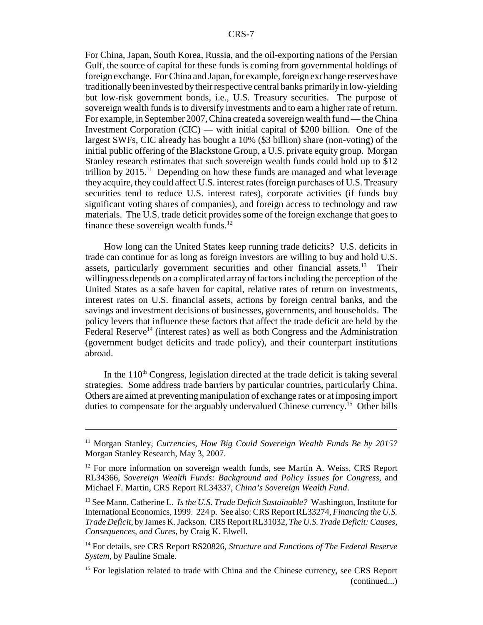For China, Japan, South Korea, Russia, and the oil-exporting nations of the Persian Gulf, the source of capital for these funds is coming from governmental holdings of foreign exchange. For China and Japan, for example, foreign exchange reserves have traditionally been invested by their respective central banks primarily in low-yielding but low-risk government bonds, i.e., U.S. Treasury securities. The purpose of sovereign wealth funds is to diversify investments and to earn a higher rate of return. For example, in September 2007, China created a sovereign wealth fund — the China Investment Corporation  $(CIC)$  — with initial capital of \$200 billion. One of the largest SWFs, CIC already has bought a 10% (\$3 billion) share (non-voting) of the initial public offering of the Blackstone Group, a U.S. private equity group. Morgan Stanley research estimates that such sovereign wealth funds could hold up to \$12 trillion by  $2015<sup>11</sup>$  Depending on how these funds are managed and what leverage they acquire, they could affect U.S. interest rates (foreign purchases of U.S. Treasury securities tend to reduce U.S. interest rates), corporate activities (if funds buy significant voting shares of companies), and foreign access to technology and raw materials. The U.S. trade deficit provides some of the foreign exchange that goes to finance these sovereign wealth funds. $^{12}$ 

How long can the United States keep running trade deficits? U.S. deficits in trade can continue for as long as foreign investors are willing to buy and hold U.S. assets, particularly government securities and other financial assets.<sup>13</sup> Their willingness depends on a complicated array of factors including the perception of the United States as a safe haven for capital, relative rates of return on investments, interest rates on U.S. financial assets, actions by foreign central banks, and the savings and investment decisions of businesses, governments, and households. The policy levers that influence these factors that affect the trade deficit are held by the Federal Reserve<sup>14</sup> (interest rates) as well as both Congress and the Administration (government budget deficits and trade policy), and their counterpart institutions abroad.

In the  $110<sup>th</sup>$  Congress, legislation directed at the trade deficit is taking several strategies. Some address trade barriers by particular countries, particularly China. Others are aimed at preventing manipulation of exchange rates or at imposing import duties to compensate for the arguably undervalued Chinese currency.<sup>15</sup> Other bills

<sup>&</sup>lt;sup>11</sup> Morgan Stanley, *Currencies, How Big Could Sovereign Wealth Funds Be by 2015?* Morgan Stanley Research, May 3, 2007.

<sup>&</sup>lt;sup>12</sup> For more information on sovereign wealth funds, see Martin A. Weiss, CRS Report RL34366, *Sovereign Wealth Funds: Background and Policy Issues for Congress*, and Michael F. Martin, CRS Report RL34337, *China's Sovereign Wealth Fund*.

<sup>13</sup> See Mann, Catherine L. *Is the U.S. Trade Deficit Sustainable?* Washington, Institute for International Economics, 1999. 224 p. See also: CRS Report RL33274, *Financing the U.S. Trade Deficit*, by James K. Jackson. CRS Report RL31032, *The U.S. Trade Deficit: Causes, Consequences, and Cures*, by Craig K. Elwell.

<sup>&</sup>lt;sup>14</sup> For details, see CRS Report RS20826, *Structure and Functions of The Federal Reserve System*, by Pauline Smale.

<sup>&</sup>lt;sup>15</sup> For legislation related to trade with China and the Chinese currency, see CRS Report (continued...)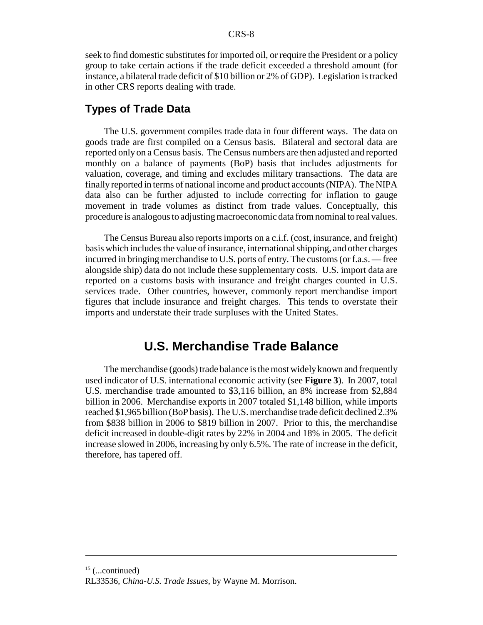seek to find domestic substitutes for imported oil, or require the President or a policy group to take certain actions if the trade deficit exceeded a threshold amount (for instance, a bilateral trade deficit of \$10 billion or 2% of GDP). Legislation is tracked in other CRS reports dealing with trade.

#### **Types of Trade Data**

The U.S. government compiles trade data in four different ways. The data on goods trade are first compiled on a Census basis. Bilateral and sectoral data are reported only on a Census basis. The Census numbers are then adjusted and reported monthly on a balance of payments (BoP) basis that includes adjustments for valuation, coverage, and timing and excludes military transactions. The data are finally reported in terms of national income and product accounts (NIPA). The NIPA data also can be further adjusted to include correcting for inflation to gauge movement in trade volumes as distinct from trade values. Conceptually, this procedure is analogous to adjusting macroeconomic data from nominal to real values.

The Census Bureau also reports imports on a c.i.f. (cost, insurance, and freight) basis which includes the value of insurance, international shipping, and other charges incurred in bringing merchandise to U.S. ports of entry. The customs (or f.a.s. — free alongside ship) data do not include these supplementary costs. U.S. import data are reported on a customs basis with insurance and freight charges counted in U.S. services trade. Other countries, however, commonly report merchandise import figures that include insurance and freight charges. This tends to overstate their imports and understate their trade surpluses with the United States.

# **U.S. Merchandise Trade Balance**

The merchandise (goods) trade balance is the most widely known and frequently used indicator of U.S. international economic activity (see **Figure 3**). In 2007, total U.S. merchandise trade amounted to \$3,116 billion, an 8% increase from \$2,884 billion in 2006. Merchandise exports in 2007 totaled \$1,148 billion, while imports reached \$1,965 billion (BoP basis). The U.S. merchandise trade deficit declined 2.3% from \$838 billion in 2006 to \$819 billion in 2007. Prior to this, the merchandise deficit increased in double-digit rates by 22% in 2004 and 18% in 2005. The deficit increase slowed in 2006, increasing by only 6.5%. The rate of increase in the deficit, therefore, has tapered off.

 $15$  (...continued)

RL33536, *China-U.S. Trade Issues*, by Wayne M. Morrison.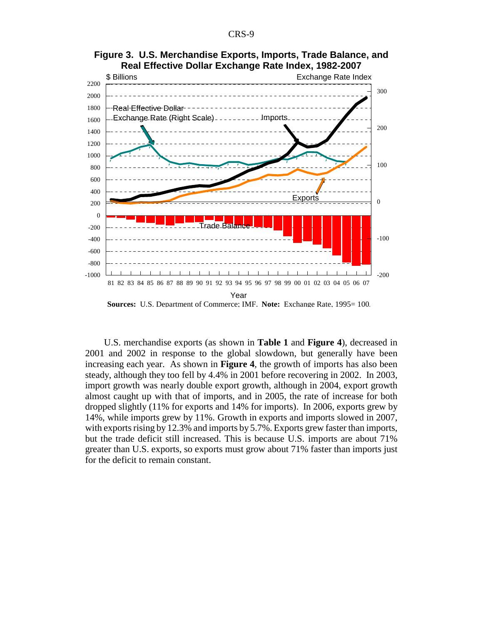

**Figure 3. U.S. Merchandise Exports, Imports, Trade Balance, and Real Effective Dollar Exchange Rate Index, 1982-2007**

U.S. merchandise exports (as shown in **Table 1** and **Figure 4**), decreased in 2001 and 2002 in response to the global slowdown, but generally have been increasing each year. As shown in **Figure 4**, the growth of imports has also been steady, although they too fell by 4.4% in 2001 before recovering in 2002. In 2003, import growth was nearly double export growth, although in 2004, export growth almost caught up with that of imports, and in 2005, the rate of increase for both dropped slightly (11% for exports and 14% for imports). In 2006, exports grew by 14%, while imports grew by 11%. Growth in exports and imports slowed in 2007, with exports rising by 12.3% and imports by 5.7%. Exports grew faster than imports, but the trade deficit still increased. This is because U.S. imports are about 71% greater than U.S. exports, so exports must grow about 71% faster than imports just for the deficit to remain constant.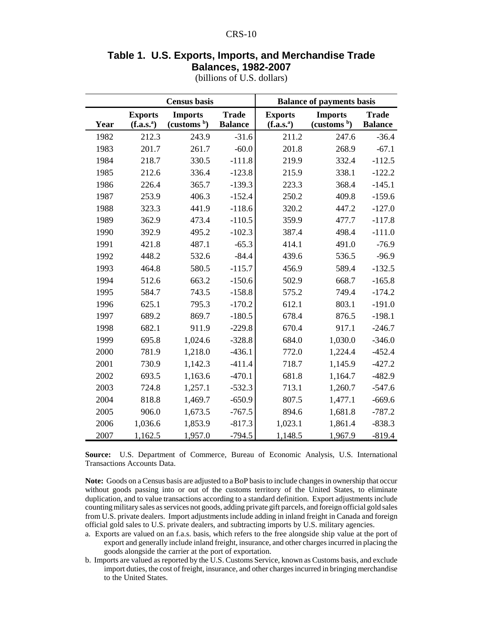### **Table 1. U.S. Exports, Imports, and Merchandise Trade Balances, 1982-2007**

|      |                                          | <b>Census</b> basis                       |                                | <b>Balance of payments basis</b>         |                                           |                                |
|------|------------------------------------------|-------------------------------------------|--------------------------------|------------------------------------------|-------------------------------------------|--------------------------------|
| Year | <b>Exports</b><br>(f.a.s. <sup>a</sup> ) | <b>Imports</b><br>(customs <sup>b</sup> ) | <b>Trade</b><br><b>Balance</b> | <b>Exports</b><br>(f.a.s. <sup>a</sup> ) | <b>Imports</b><br>(customs <sup>b</sup> ) | <b>Trade</b><br><b>Balance</b> |
| 1982 | 212.3                                    | 243.9                                     | $-31.6$                        | 211.2                                    | 247.6                                     | $-36.4$                        |
| 1983 | 201.7                                    | 261.7                                     | $-60.0$                        | 201.8                                    | 268.9                                     | $-67.1$                        |
| 1984 | 218.7                                    | 330.5                                     | $-111.8$                       | 219.9                                    | 332.4                                     | $-112.5$                       |
| 1985 | 212.6                                    | 336.4                                     | $-123.8$                       | 215.9                                    | 338.1                                     | $-122.2$                       |
| 1986 | 226.4                                    | 365.7                                     | $-139.3$                       | 223.3                                    | 368.4                                     | $-145.1$                       |
| 1987 | 253.9                                    | 406.3                                     | $-152.4$                       | 250.2                                    | 409.8                                     | $-159.6$                       |
| 1988 | 323.3                                    | 441.9                                     | $-118.6$                       | 320.2                                    | 447.2                                     | $-127.0$                       |
| 1989 | 362.9                                    | 473.4                                     | $-110.5$                       | 359.9                                    | 477.7                                     | $-117.8$                       |
| 1990 | 392.9                                    | 495.2                                     | $-102.3$                       | 387.4                                    | 498.4                                     | $-111.0$                       |
| 1991 | 421.8                                    | 487.1                                     | $-65.3$                        | 414.1                                    | 491.0                                     | $-76.9$                        |
| 1992 | 448.2                                    | 532.6                                     | $-84.4$                        | 439.6                                    | 536.5                                     | $-96.9$                        |
| 1993 | 464.8                                    | 580.5                                     | $-115.7$                       | 456.9                                    | 589.4                                     | $-132.5$                       |
| 1994 | 512.6                                    | 663.2                                     | $-150.6$                       | 502.9                                    | 668.7                                     | $-165.8$                       |
| 1995 | 584.7                                    | 743.5                                     | $-158.8$                       | 575.2                                    | 749.4                                     | $-174.2$                       |
| 1996 | 625.1                                    | 795.3                                     | $-170.2$                       | 612.1                                    | 803.1                                     | $-191.0$                       |
| 1997 | 689.2                                    | 869.7                                     | $-180.5$                       | 678.4                                    | 876.5                                     | $-198.1$                       |
| 1998 | 682.1                                    | 911.9                                     | $-229.8$                       | 670.4                                    | 917.1                                     | $-246.7$                       |
| 1999 | 695.8                                    | 1,024.6                                   | $-328.8$                       | 684.0                                    | 1,030.0                                   | $-346.0$                       |
| 2000 | 781.9                                    | 1,218.0                                   | $-436.1$                       | 772.0                                    | 1,224.4                                   | $-452.4$                       |
| 2001 | 730.9                                    | 1,142.3                                   | $-411.4$                       | 718.7                                    | 1,145.9                                   | $-427.2$                       |
| 2002 | 693.5                                    | 1,163.6                                   | $-470.1$                       | 681.8                                    | 1,164.7                                   | $-482.9$                       |
| 2003 | 724.8                                    | 1,257.1                                   | $-532.3$                       | 713.1                                    | 1,260.7                                   | $-547.6$                       |
| 2004 | 818.8                                    | 1,469.7                                   | $-650.9$                       | 807.5                                    | 1,477.1                                   | $-669.6$                       |
| 2005 | 906.0                                    | 1,673.5                                   | $-767.5$                       | 894.6                                    | 1,681.8                                   | $-787.2$                       |
| 2006 | 1,036.6                                  | 1,853.9                                   | $-817.3$                       | 1,023.1                                  | 1,861.4                                   | $-838.3$                       |
| 2007 | 1,162.5                                  | 1,957.0                                   | $-794.5$                       | 1,148.5                                  | 1,967.9                                   | $-819.4$                       |

(billions of U.S. dollars)

**Source:** U.S. Department of Commerce, Bureau of Economic Analysis, U.S. International Transactions Accounts Data.

**Note:** Goods on a Census basis are adjusted to a BoP basis to include changes in ownership that occur without goods passing into or out of the customs territory of the United States, to eliminate duplication, and to value transactions according to a standard definition. Export adjustments include counting military sales as services not goods, adding private gift parcels, and foreign official gold sales from U.S. private dealers. Import adjustments include adding in inland freight in Canada and foreign official gold sales to U.S. private dealers, and subtracting imports by U.S. military agencies.

- a. Exports are valued on an f.a.s. basis, which refers to the free alongside ship value at the port of export and generally include inland freight, insurance, and other charges incurred in placing the goods alongside the carrier at the port of exportation.
- b. Imports are valued as reported by the U.S. Customs Service, known as Customs basis, and exclude import duties, the cost of freight, insurance, and other charges incurred in bringing merchandise to the United States.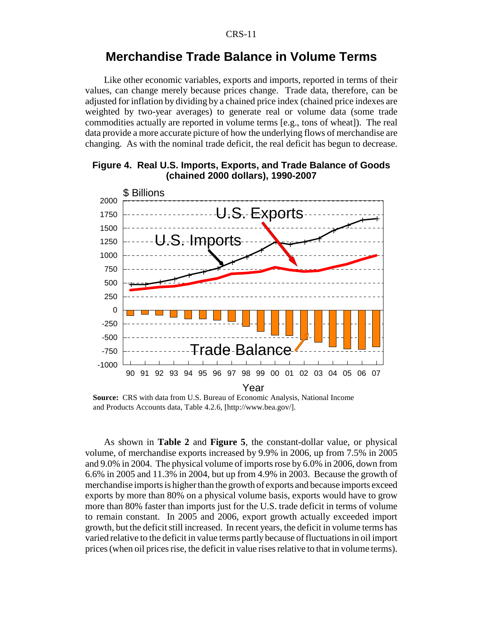# **Merchandise Trade Balance in Volume Terms**

Like other economic variables, exports and imports, reported in terms of their values, can change merely because prices change. Trade data, therefore, can be adjusted for inflation by dividing by a chained price index (chained price indexes are weighted by two-year averages) to generate real or volume data (some trade commodities actually are reported in volume terms [e.g., tons of wheat]). The real data provide a more accurate picture of how the underlying flows of merchandise are changing. As with the nominal trade deficit, the real deficit has begun to decrease.



#### **Figure 4. Real U.S. Imports, Exports, and Trade Balance of Goods (chained 2000 dollars), 1990-2007**

**Source:** CRS with data from U.S. Bureau of Economic Analysis, National Income and Products Accounts data, Table 4.2.6, [http://www.bea.gov/].

As shown in **Table 2** and **Figure 5**, the constant-dollar value, or physical volume, of merchandise exports increased by 9.9% in 2006, up from 7.5% in 2005 and 9.0% in 2004. The physical volume of imports rose by 6.0% in 2006, down from 6.6% in 2005 and 11.3% in 2004, but up from 4.9% in 2003. Because the growth of merchandise imports is higher than the growth of exports and because imports exceed exports by more than 80% on a physical volume basis, exports would have to grow more than 80% faster than imports just for the U.S. trade deficit in terms of volume to remain constant. In 2005 and 2006, export growth actually exceeded import growth, but the deficit still increased. In recent years, the deficit in volume terms has varied relative to the deficit in value terms partly because of fluctuations in oil import prices (when oil prices rise, the deficit in value rises relative to that in volume terms).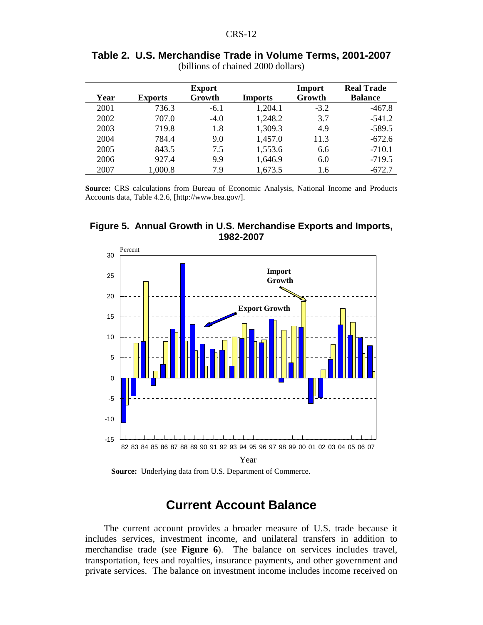| Year | <b>Exports</b> | <b>Export</b><br>Growth | <b>Imports</b> | Import<br>Growth | <b>Real Trade</b><br><b>Balance</b> |
|------|----------------|-------------------------|----------------|------------------|-------------------------------------|
| 2001 | 736.3          | $-6.1$                  | 1,204.1        | $-3.2$           | $-467.8$                            |
| 2002 | 707.0          | $-4.0$                  | 1,248.2        | 3.7              | $-541.2$                            |
| 2003 | 719.8          | 1.8                     | 1,309.3        | 4.9              | $-589.5$                            |
| 2004 | 784.4          | 9.0                     | 1,457.0        | 11.3             | $-672.6$                            |
| 2005 | 843.5          | 7.5                     | 1,553.6        | 6.6              | $-710.1$                            |
| 2006 | 927.4          | 9.9                     | 1,646.9        | 6.0              | $-719.5$                            |
| 2007 | 1,000.8        | 7.9                     | 1,673.5        | 1.6              | $-672.7$                            |

| Table 2. U.S. Merchandise Trade in Volume Terms, 2001-2007 |
|------------------------------------------------------------|
| (billions of chained 2000 dollars)                         |

**Source:** CRS calculations from Bureau of Economic Analysis, National Income and Products Accounts data, Table 4.2.6, [http://www.bea.gov/].



**Figure 5. Annual Growth in U.S. Merchandise Exports and Imports, 1982-2007**

**Source:** Underlying data from U.S. Department of Commerce.

# **Current Account Balance**

The current account provides a broader measure of U.S. trade because it includes services, investment income, and unilateral transfers in addition to merchandise trade (see **Figure 6**). The balance on services includes travel, transportation, fees and royalties, insurance payments, and other government and private services. The balance on investment income includes income received on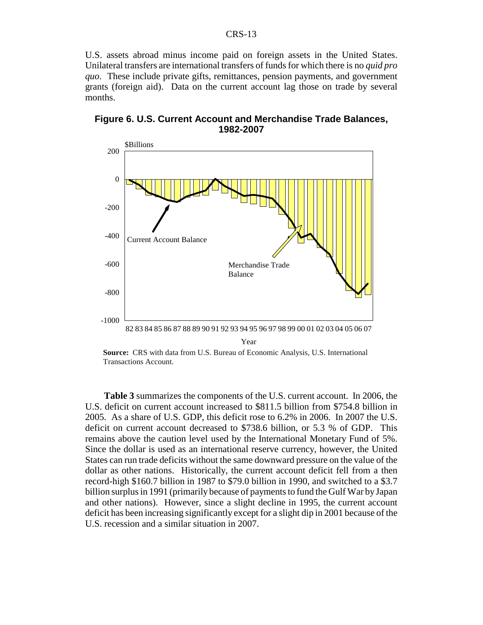U.S. assets abroad minus income paid on foreign assets in the United States. Unilateral transfers are international transfers of funds for which there is no *quid pro quo*. These include private gifts, remittances, pension payments, and government grants (foreign aid). Data on the current account lag those on trade by several months.



**Figure 6. U.S. Current Account and Merchandise Trade Balances, 1982-2007**

**Source:** CRS with data from U.S. Bureau of Economic Analysis, U.S. International Transactions Account.

**Table 3** summarizes the components of the U.S. current account. In 2006, the U.S. deficit on current account increased to \$811.5 billion from \$754.8 billion in 2005. As a share of U.S. GDP, this deficit rose to 6.2% in 2006. In 2007 the U.S. deficit on current account decreased to \$738.6 billion, or 5.3 % of GDP. This remains above the caution level used by the International Monetary Fund of 5%. Since the dollar is used as an international reserve currency, however, the United States can run trade deficits without the same downward pressure on the value of the dollar as other nations. Historically, the current account deficit fell from a then record-high \$160.7 billion in 1987 to \$79.0 billion in 1990, and switched to a \$3.7 billion surplus in 1991 (primarily because of payments to fund the Gulf War by Japan and other nations). However, since a slight decline in 1995, the current account deficit has been increasing significantly except for a slight dip in 2001 because of the U.S. recession and a similar situation in 2007.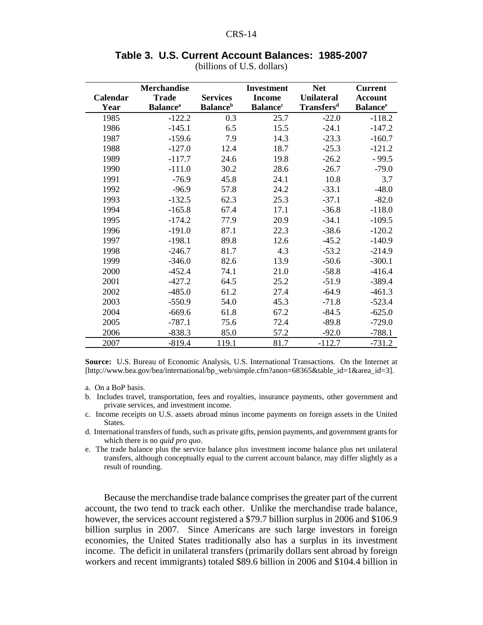|          | <b>Merchandise</b>          |                             | <b>Investment</b>           | <b>Net</b>        | <b>Current</b>              |
|----------|-----------------------------|-----------------------------|-----------------------------|-------------------|-----------------------------|
| Calendar | <b>Trade</b>                | <b>Services</b>             | <b>Income</b>               | <b>Unilateral</b> | <b>Account</b>              |
| Year     | <b>Balance</b> <sup>a</sup> | <b>Balance</b> <sup>b</sup> | <b>Balance</b> <sup>c</sup> | <b>Transfersd</b> | <b>Balance</b> <sup>e</sup> |
| 1985     | $-122.2$                    | 0.3                         | 25.7                        | $-22.0$           | $-118.2$                    |
| 1986     | $-145.1$                    | 6.5                         | 15.5                        | $-24.1$           | $-147.2$                    |
| 1987     | $-159.6$                    | 7.9                         | 14.3                        | $-23.3$           | $-160.7$                    |
| 1988     | $-127.0$                    | 12.4                        | 18.7                        | $-25.3$           | $-121.2$                    |
| 1989     | $-117.7$                    | 24.6                        | 19.8                        | $-26.2$           | $-99.5$                     |
| 1990     | $-111.0$                    | 30.2                        | 28.6                        | $-26.7$           | $-79.0$                     |
| 1991     | $-76.9$                     | 45.8                        | 24.1                        | 10.8              | 3.7                         |
| 1992     | $-96.9$                     | 57.8                        | 24.2                        | $-33.1$           | $-48.0$                     |
| 1993     | $-132.5$                    | 62.3                        | 25.3                        | $-37.1$           | $-82.0$                     |
| 1994     | $-165.8$                    | 67.4                        | 17.1                        | $-36.8$           | $-118.0$                    |
| 1995     | $-174.2$                    | 77.9                        | 20.9                        | $-34.1$           | $-109.5$                    |
| 1996     | $-191.0$                    | 87.1                        | 22.3                        | $-38.6$           | $-120.2$                    |
| 1997     | $-198.1$                    | 89.8                        | 12.6                        | $-45.2$           | $-140.9$                    |
| 1998     | $-246.7$                    | 81.7                        | 4.3                         | $-53.2$           | $-214.9$                    |
| 1999     | $-346.0$                    | 82.6                        | 13.9                        | $-50.6$           | $-300.1$                    |
| 2000     | $-452.4$                    | 74.1                        | 21.0                        | $-58.8$           | $-416.4$                    |
| 2001     | $-427.2$                    | 64.5                        | 25.2                        | $-51.9$           | $-389.4$                    |
| 2002     | $-485.0$                    | 61.2                        | 27.4                        | $-64.9$           | $-461.3$                    |
| 2003     | $-550.9$                    | 54.0                        | 45.3                        | $-71.8$           | $-523.4$                    |
| 2004     | $-669.6$                    | 61.8                        | 67.2                        | $-84.5$           | $-625.0$                    |
| 2005     | $-787.1$                    | 75.6                        | 72.4                        | $-89.8$           | $-729.0$                    |
| 2006     | $-838.3$                    | 85.0                        | 57.2                        | $-92.0$           | $-788.1$                    |
| 2007     | $-819.4$                    | 119.1                       | 81.7                        | $-112.7$          | $-731.2$                    |

# **Table 3. U.S. Current Account Balances: 1985-2007**

(billions of U.S. dollars)

**Source:** U.S. Bureau of Economic Analysis, U.S. International Transactions. On the Internet at [http://www.bea.gov/bea/international/bp\_web/simple.cfm?anon=68365&table\_id=1&area\_id=3].

- a. On a BoP basis.
- b. Includes travel, transportation, fees and royalties, insurance payments, other government and private services, and investment income.
- c. Income receipts on U.S. assets abroad minus income payments on foreign assets in the United States.
- d. International transfers of funds, such as private gifts, pension payments, and government grants for which there is no *quid pro quo*.
- e. The trade balance plus the service balance plus investment income balance plus net unilateral transfers, although conceptually equal to the current account balance, may differ slightly as a result of rounding.

Because the merchandise trade balance comprises the greater part of the current account, the two tend to track each other. Unlike the merchandise trade balance, however, the services account registered a \$79.7 billion surplus in 2006 and \$106.9 billion surplus in 2007. Since Americans are such large investors in foreign economies, the United States traditionally also has a surplus in its investment income. The deficit in unilateral transfers (primarily dollars sent abroad by foreign workers and recent immigrants) totaled \$89.6 billion in 2006 and \$104.4 billion in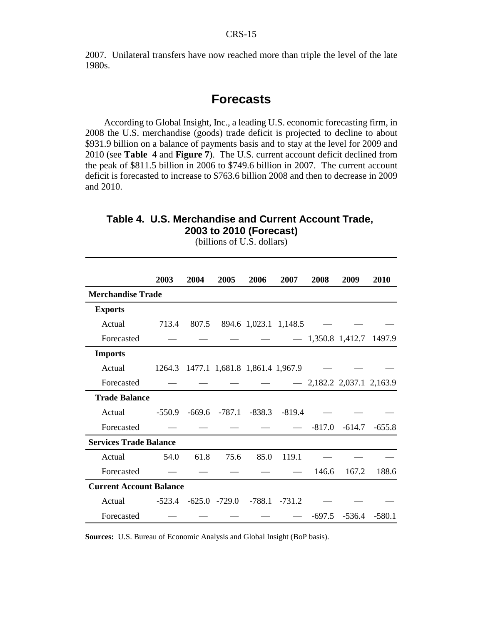2007. Unilateral transfers have now reached more than triple the level of the late 1980s.

# **Forecasts**

According to Global Insight, Inc., a leading U.S. economic forecasting firm, in 2008 the U.S. merchandise (goods) trade deficit is projected to decline to about \$931.9 billion on a balance of payments basis and to stay at the level for 2009 and 2010 (see **Table 4** and **Figure 7**). The U.S. current account deficit declined from the peak of \$811.5 billion in 2006 to \$749.6 billion in 2007. The current account deficit is forecasted to increase to \$763.6 billion 2008 and then to decrease in 2009 and 2010.

#### **Table 4. U.S. Merchandise and Current Account Trade, 2003 to 2010 (Forecast)**

|                                | 2003     | 2004  | 2005 | 2006                                  | 2007  | 2008     | 2009                       | 2010     |
|--------------------------------|----------|-------|------|---------------------------------------|-------|----------|----------------------------|----------|
| <b>Merchandise Trade</b>       |          |       |      |                                       |       |          |                            |          |
| <b>Exports</b>                 |          |       |      |                                       |       |          |                            |          |
| Actual                         | 713.4    | 807.5 |      | 894.6 1,023.1 1,148.5                 |       |          |                            |          |
| Forecasted                     |          |       |      |                                       |       |          | $- 1,350.8$ 1,412.7        | 1497.9   |
| <b>Imports</b>                 |          |       |      |                                       |       |          |                            |          |
| Actual                         |          |       |      | 1264.3 1477.1 1,681.8 1,861.4 1,967.9 |       |          |                            |          |
| Forecasted                     |          |       |      |                                       |       |          | $-2,182.2$ 2,037.1 2,163.9 |          |
| <b>Trade Balance</b>           |          |       |      |                                       |       |          |                            |          |
| Actual                         | $-550.9$ |       |      | $-669.6$ $-787.1$ $-838.3$ $-819.4$   |       |          |                            |          |
| Forecasted                     |          |       |      |                                       |       | $-817.0$ | $-614.7$                   | $-655.8$ |
| <b>Services Trade Balance</b>  |          |       |      |                                       |       |          |                            |          |
| Actual                         | 54.0     | 61.8  | 75.6 | 85.0                                  | 119.1 |          |                            |          |
| Forecasted                     |          |       |      |                                       |       | 146.6    | 167.2                      | 188.6    |
| <b>Current Account Balance</b> |          |       |      |                                       |       |          |                            |          |
| Actual                         | $-523.4$ |       |      | $-625.0$ $-729.0$ $-788.1$ $-731.2$   |       |          |                            |          |
| Forecasted                     |          |       |      |                                       |       | $-697.5$ | $-536.4$                   | $-580.1$ |

(billions of U.S. dollars)

**Sources:** U.S. Bureau of Economic Analysis and Global Insight (BoP basis).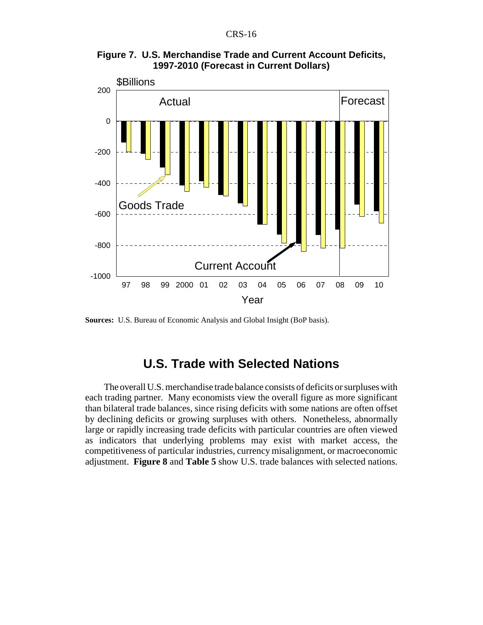



**Sources:** U.S. Bureau of Economic Analysis and Global Insight (BoP basis).

# **U.S. Trade with Selected Nations**

The overall U.S. merchandise trade balance consists of deficits or surpluses with each trading partner. Many economists view the overall figure as more significant than bilateral trade balances, since rising deficits with some nations are often offset by declining deficits or growing surpluses with others. Nonetheless, abnormally large or rapidly increasing trade deficits with particular countries are often viewed as indicators that underlying problems may exist with market access, the competitiveness of particular industries, currency misalignment, or macroeconomic adjustment. **Figure 8** and **Table 5** show U.S. trade balances with selected nations.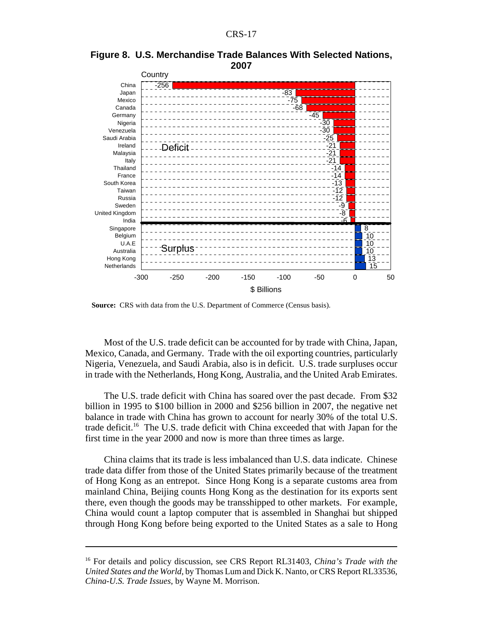



**Source:** CRS with data from the U.S. Department of Commerce (Census basis).

Most of the U.S. trade deficit can be accounted for by trade with China, Japan, Mexico, Canada, and Germany. Trade with the oil exporting countries, particularly Nigeria, Venezuela, and Saudi Arabia, also is in deficit. U.S. trade surpluses occur in trade with the Netherlands, Hong Kong, Australia, and the United Arab Emirates.

The U.S. trade deficit with China has soared over the past decade. From \$32 billion in 1995 to \$100 billion in 2000 and \$256 billion in 2007, the negative net balance in trade with China has grown to account for nearly 30% of the total U.S. trade deficit.<sup>16</sup> The U.S. trade deficit with China exceeded that with Japan for the first time in the year 2000 and now is more than three times as large.

China claims that its trade is less imbalanced than U.S. data indicate. Chinese trade data differ from those of the United States primarily because of the treatment of Hong Kong as an entrepot. Since Hong Kong is a separate customs area from mainland China, Beijing counts Hong Kong as the destination for its exports sent there, even though the goods may be transshipped to other markets. For example, China would count a laptop computer that is assembled in Shanghai but shipped through Hong Kong before being exported to the United States as a sale to Hong

<sup>16</sup> For details and policy discussion, see CRS Report RL31403, *China's Trade with the United States and the World*, by Thomas Lum and Dick K. Nanto, or CRS Report RL33536, *China-U.S. Trade Issues*, by Wayne M. Morrison.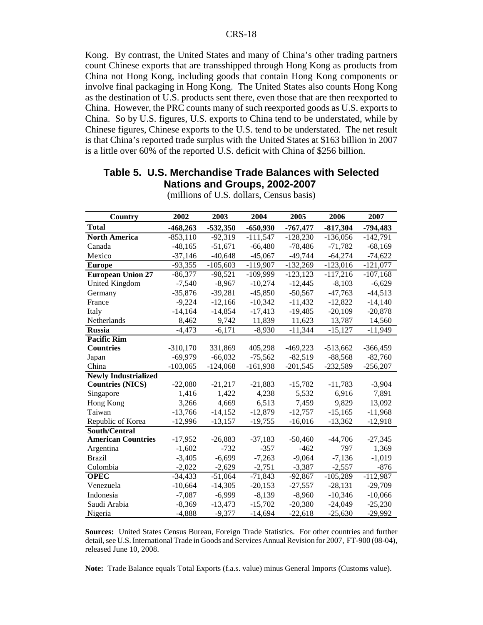Kong. By contrast, the United States and many of China's other trading partners count Chinese exports that are transshipped through Hong Kong as products from China not Hong Kong, including goods that contain Hong Kong components or involve final packaging in Hong Kong. The United States also counts Hong Kong as the destination of U.S. products sent there, even those that are then reexported to China. However, the PRC counts many of such reexported goods as U.S. exports to China. So by U.S. figures, U.S. exports to China tend to be understated, while by Chinese figures, Chinese exports to the U.S. tend to be understated. The net result is that China's reported trade surplus with the United States at \$163 billion in 2007 is a little over 60% of the reported U.S. deficit with China of \$256 billion.

#### **Table 5. U.S. Merchandise Trade Balances with Selected Nations and Groups, 2002-2007**

| Country                     | 2002       | 2003       | 2004       | 2005        | 2006       | 2007       |
|-----------------------------|------------|------------|------------|-------------|------------|------------|
| <b>Total</b>                | $-468,263$ | $-532,350$ | $-650,930$ | $-767,477$  | $-817,304$ | -794,483   |
| <b>North America</b>        | $-853,110$ | $-92,319$  | $-111,547$ | $-128,230$  | $-136,056$ | $-142,791$ |
| Canada                      | $-48,165$  | $-51,671$  | $-66,480$  | $-78,486$   | $-71,782$  | $-68,169$  |
| Mexico                      | $-37,146$  | $-40,648$  | $-45,067$  | $-49,744$   | $-64,274$  | $-74,622$  |
| <b>Europe</b>               | $-93,355$  | $-105,603$ | $-119,907$ | $-132,269$  | $-123,016$ | $-121,077$ |
| <b>European Union 27</b>    | $-86,377$  | $-98,521$  | $-109,999$ | $-123, 123$ | $-117,216$ | $-107,168$ |
| United Kingdom              | $-7,540$   | $-8,967$   | $-10,274$  | $-12,445$   | $-8,103$   | $-6,629$   |
| Germany                     | $-35,876$  | $-39,281$  | $-45,850$  | $-50,567$   | $-47,763$  | $-44,513$  |
| France                      | $-9,224$   | $-12,166$  | $-10,342$  | $-11,432$   | $-12,822$  | $-14,140$  |
| Italy                       | $-14,164$  | $-14,854$  | $-17,413$  | $-19,485$   | $-20,109$  | $-20,878$  |
| Netherlands                 | 8,462      | 9,742      | 11,839     | 11,623      | 13,787     | 14,560     |
| <b>Russia</b>               | $-4,473$   | $-6,171$   | $-8,930$   | $-11,344$   | $-15,127$  | -11,949    |
| <b>Pacific Rim</b>          |            |            |            |             |            |            |
| <b>Countries</b>            | $-310,170$ | 331,869    | 405,298    | $-469,223$  | $-513,662$ | $-366,459$ |
| Japan                       | $-69,979$  | $-66,032$  | $-75,562$  | $-82,519$   | $-88,568$  | $-82,760$  |
| China                       | $-103,065$ | $-124,068$ | $-161,938$ | $-201,545$  | $-232,589$ | $-256,207$ |
| <b>Newly Industrialized</b> |            |            |            |             |            |            |
| <b>Countries (NICS)</b>     | $-22,080$  | $-21,217$  | $-21,883$  | $-15,782$   | $-11,783$  | $-3,904$   |
| Singapore                   | 1,416      | 1,422      | 4,238      | 5,532       | 6,916      | 7,891      |
| Hong Kong                   | 3,266      | 4,669      | 6,513      | 7,459       | 9,829      | 13,092     |
| Taiwan                      | $-13,766$  | $-14,152$  | $-12,879$  | $-12,757$   | $-15,165$  | $-11,968$  |
| Republic of Korea           | $-12,996$  | $-13,157$  | $-19,755$  | $-16,016$   | $-13,362$  | $-12,918$  |
| South/Central               |            |            |            |             |            |            |
| <b>American Countries</b>   | $-17,952$  | $-26,883$  | $-37,183$  | $-50,460$   | $-44,706$  | $-27,345$  |
| Argentina                   | $-1,602$   | $-732$     | $-357$     | $-462$      | 797        | 1,369      |
| <b>Brazil</b>               | $-3,405$   | $-6,699$   | $-7,263$   | $-9,064$    | $-7,136$   | $-1,019$   |
| Colombia                    | $-2,022$   | $-2,629$   | $-2,751$   | $-3,387$    | $-2,557$   | $-876$     |
| <b>OPEC</b>                 | $-34,433$  | $-51,064$  | $-71,843$  | $-92,867$   | $-105,289$ | $-112,987$ |
| Venezuela                   | $-10,664$  | $-14,305$  | $-20,153$  | $-27,557$   | $-28,131$  | $-29,709$  |
| Indonesia                   | $-7,087$   | $-6,999$   | $-8,139$   | $-8,960$    | $-10,346$  | $-10,066$  |
| Saudi Arabia                | $-8,369$   | $-13,473$  | $-15,702$  | $-20,380$   | $-24,049$  | $-25,230$  |
| Nigeria                     | $-4,888$   | $-9,377$   | $-14,694$  | $-22,618$   | $-25,630$  | $-29,992$  |

(millions of U.S. dollars, Census basis)

**Sources:** United States Census Bureau, Foreign Trade Statistics. For other countries and further detail, see U.S. International Trade in Goods and Services Annual Revision for 2007, FT-900 (08-04), released June 10, 2008.

**Note:** Trade Balance equals Total Exports (f.a.s. value) minus General Imports (Customs value).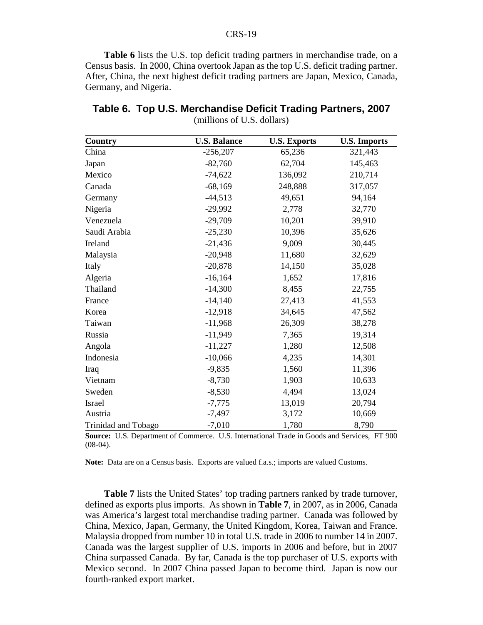**Table 6** lists the U.S. top deficit trading partners in merchandise trade, on a Census basis. In 2000, China overtook Japan as the top U.S. deficit trading partner. After, China, the next highest deficit trading partners are Japan, Mexico, Canada, Germany, and Nigeria.

| Country             | <b>U.S. Balance</b> | <b>U.S. Exports</b> | <b>U.S. Imports</b> |
|---------------------|---------------------|---------------------|---------------------|
| China               | $-256,207$          | 65,236              | 321,443             |
| Japan               | $-82,760$           | 62,704              | 145,463             |
| Mexico              | $-74,622$           | 136,092             | 210,714             |
| Canada              | $-68,169$           | 248,888             | 317,057             |
| Germany             | $-44,513$           | 49,651              | 94,164              |
| Nigeria             | $-29,992$           | 2,778               | 32,770              |
| Venezuela           | $-29,709$           | 10,201              | 39,910              |
| Saudi Arabia        | $-25,230$           | 10,396              | 35,626              |
| Ireland             | $-21,436$           | 9,009               | 30,445              |
| Malaysia            | $-20,948$           | 11,680              | 32,629              |
| Italy               | $-20,878$           | 14,150              | 35,028              |
| Algeria             | $-16,164$           | 1,652               | 17,816              |
| Thailand            | $-14,300$           | 8,455               | 22,755              |
| France              | $-14,140$           | 27,413              | 41,553              |
| Korea               | $-12,918$           | 34,645              | 47,562              |
| Taiwan              | $-11,968$           | 26,309              | 38,278              |
| Russia              | $-11,949$           | 7,365               | 19,314              |
| Angola              | $-11,227$           | 1,280               | 12,508              |
| Indonesia           | $-10,066$           | 4,235               | 14,301              |
| Iraq                | $-9,835$            | 1,560               | 11,396              |
| Vietnam             | $-8,730$            | 1,903               | 10,633              |
| Sweden              | $-8,530$            | 4,494               | 13,024              |
| Israel              | $-7,775$            | 13,019              | 20,794              |
| Austria             | $-7,497$            | 3,172               | 10,669              |
| Trinidad and Tobago | $-7,010$            | 1,780               | 8,790               |

| Table 6. Top U.S. Merchandise Deficit Trading Partners, 2007 |
|--------------------------------------------------------------|
| (millions of U.S. dollars)                                   |

**Source:** U.S. Department of Commerce. U.S. International Trade in Goods and Services, FT 900  $(08-04)$ .

**Note:** Data are on a Census basis. Exports are valued f.a.s.; imports are valued Customs.

**Table 7** lists the United States' top trading partners ranked by trade turnover, defined as exports plus imports. As shown in **Table 7**, in 2007, as in 2006, Canada was America's largest total merchandise trading partner. Canada was followed by China, Mexico, Japan, Germany, the United Kingdom, Korea, Taiwan and France. Malaysia dropped from number 10 in total U.S. trade in 2006 to number 14 in 2007. Canada was the largest supplier of U.S. imports in 2006 and before, but in 2007 China surpassed Canada. By far, Canada is the top purchaser of U.S. exports with Mexico second. In 2007 China passed Japan to become third. Japan is now our fourth-ranked export market.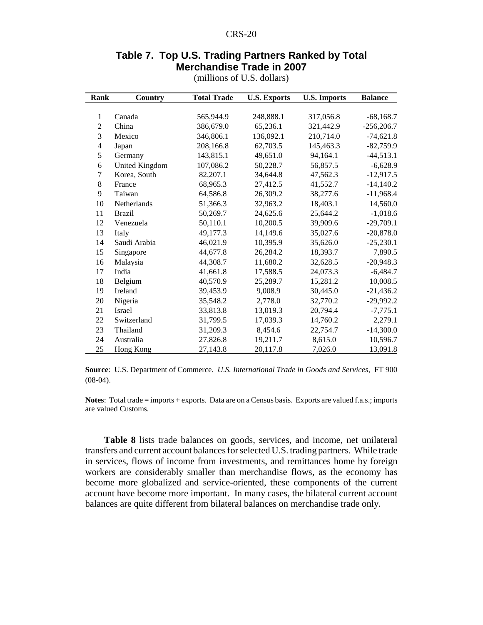#### **Table 7. Top U.S. Trading Partners Ranked by Total Merchandise Trade in 2007**

| Rank           | Country          | <b>Total Trade</b> | <b>U.S. Exports</b> | <b>U.S.</b> Imports | <b>Balance</b> |
|----------------|------------------|--------------------|---------------------|---------------------|----------------|
|                |                  |                    |                     |                     |                |
| 1              | Canada           | 565,944.9          | 248,888.1           | 317,056.8           | $-68,168.7$    |
| $\mathfrak{2}$ | China            | 386,679.0          | 65,236.1            | 321,442.9           | $-256,206.7$   |
| 3              | Mexico           | 346,806.1          | 136,092.1           | 210,714.0           | $-74,621.8$    |
| 4              | Japan            | 208,166.8          | 62,703.5            | 145,463.3           | $-82,759.9$    |
| 5              | Germany          | 143,815.1          | 49,651.0            | 94,164.1            | $-44,513.1$    |
| 6              | United Kingdom   | 107,086.2          | 50,228.7            | 56,857.5            | $-6,628.9$     |
| 7              | Korea, South     | 82,207.1           | 34,644.8            | 47,562.3            | $-12,917.5$    |
| 8              | France           | 68,965.3           | 27,412.5            | 41,552.7            | $-14,140.2$    |
| 9              | Taiwan           | 64,586.8           | 26,309.2            | 38,277.6            | $-11,968.4$    |
| 10             | Netherlands      | 51,366.3           | 32,963.2            | 18,403.1            | 14,560.0       |
| 11             | <b>Brazil</b>    | 50,269.7           | 24,625.6            | 25,644.2            | $-1,018.6$     |
| 12             | Venezuela        | 50,110.1           | 10,200.5            | 39,909.6            | $-29,709.1$    |
| 13             | Italy            | 49,177.3           | 14,149.6            | 35,027.6            | $-20,878.0$    |
| 14             | Saudi Arabia     | 46,021.9           | 10,395.9            | 35,626.0            | $-25,230.1$    |
| 15             | Singapore        | 44,677.8           | 26,284.2            | 18,393.7            | 7,890.5        |
| 16             | Malaysia         | 44,308.7           | 11,680.2            | 32,628.5            | $-20,948.3$    |
| 17             | India            | 41,661.8           | 17,588.5            | 24,073.3            | $-6,484.7$     |
| 18             | Belgium          | 40,570.9           | 25,289.7            | 15,281.2            | 10,008.5       |
| 19             | Ireland          | 39,453.9           | 9,008.9             | 30,445.0            | $-21,436.2$    |
| 20             | Nigeria          | 35,548.2           | 2,778.0             | 32,770.2            | $-29,992.2$    |
| 21             | <b>Israel</b>    | 33,813.8           | 13,019.3            | 20,794.4            | $-7,775.1$     |
| 22             | Switzerland      | 31,799.5           | 17,039.3            | 14,760.2            | 2,279.1        |
| 23             | Thailand         | 31,209.3           | 8.454.6             | 22,754.7            | $-14,300.0$    |
| 24             | Australia        | 27,826.8           | 19,211.7            | 8,615.0             | 10,596.7       |
| 25             | <b>Hong Kong</b> | 27,143.8           | 20,117.8            | 7,026.0             | 13,091.8       |

(millions of U.S. dollars)

**Source**: U.S. Department of Commerce. *U.S. International Trade in Goods and Services*, FT 900  $(08-04)$ .

**Notes**: Total trade = imports + exports. Data are on a Census basis. Exports are valued f.a.s.; imports are valued Customs.

**Table 8** lists trade balances on goods, services, and income, net unilateral transfers and current account balances for selected U.S. trading partners. While trade in services, flows of income from investments, and remittances home by foreign workers are considerably smaller than merchandise flows, as the economy has become more globalized and service-oriented, these components of the current account have become more important. In many cases, the bilateral current account balances are quite different from bilateral balances on merchandise trade only.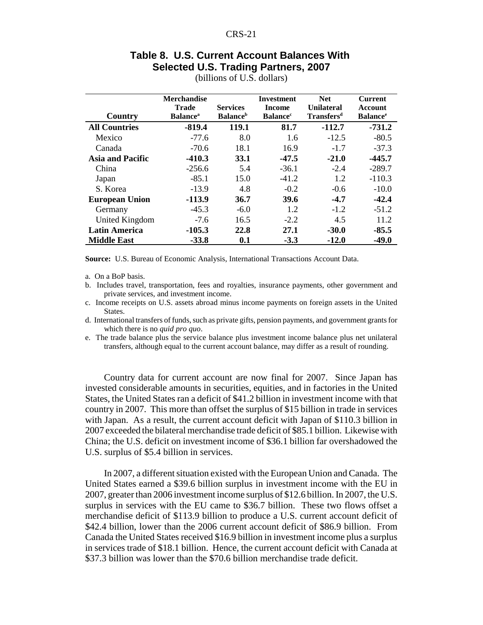## **Table 8. U.S. Current Account Balances With Selected U.S. Trading Partners, 2007**

| Country                 | <b>Merchandise</b><br><b>Trade</b><br><b>Balance</b> <sup>a</sup> | <b>Services</b><br><b>Balance</b> <sup>b</sup> | <b>Investment</b><br><b>Income</b><br><b>Balance</b> <sup>c</sup> | <b>Net</b><br><b>Unilateral</b><br><b>Transfersd</b> | <b>Current</b><br>Account<br><b>Balance</b> <sup>e</sup> |
|-------------------------|-------------------------------------------------------------------|------------------------------------------------|-------------------------------------------------------------------|------------------------------------------------------|----------------------------------------------------------|
| <b>All Countries</b>    | $-819.4$                                                          | 119.1                                          | 81.7                                                              | $-112.7$                                             | $-731.2$                                                 |
| Mexico                  | $-77.6$                                                           | 8.0                                            | 1.6                                                               | $-12.5$                                              | $-80.5$                                                  |
| Canada                  | $-70.6$                                                           | 18.1                                           | 16.9                                                              | $-1.7$                                               | $-37.3$                                                  |
| <b>Asia and Pacific</b> | $-410.3$                                                          | <b>33.1</b>                                    | $-47.5$                                                           | $-21.0$                                              | $-445.7$                                                 |
| China                   | $-256.6$                                                          | 5.4                                            | $-36.1$                                                           | $-2.4$                                               | $-289.7$                                                 |
| Japan                   | $-85.1$                                                           | 15.0                                           | $-41.2$                                                           | 1.2                                                  | $-110.3$                                                 |
| S. Korea                | $-13.9$                                                           | 4.8                                            | $-0.2$                                                            | $-0.6$                                               | $-10.0$                                                  |
| <b>European Union</b>   | $-113.9$                                                          | 36.7                                           | 39.6                                                              | $-4.7$                                               | $-42.4$                                                  |
| Germany                 | $-45.3$                                                           | $-6.0$                                         | 1.2                                                               | $-1.2$                                               | $-51.2$                                                  |
| United Kingdom          | $-7.6$                                                            | 16.5                                           | $-2.2$                                                            | 4.5                                                  | 11.2                                                     |
| <b>Latin America</b>    | $-105.3$                                                          | 22.8                                           | 27.1                                                              | $-30.0$                                              | $-85.5$                                                  |
| <b>Middle East</b>      | $-33.8$                                                           | 0.1                                            | $-3.3$                                                            | $-12.0$                                              | $-49.0$                                                  |

(billions of U.S. dollars)

**Source:** U.S. Bureau of Economic Analysis, International Transactions Account Data.

- a. On a BoP basis.
- b. Includes travel, transportation, fees and royalties, insurance payments, other government and private services, and investment income.
- c. Income receipts on U.S. assets abroad minus income payments on foreign assets in the United States.
- d. International transfers of funds, such as private gifts, pension payments, and government grants for which there is no *quid pro quo*.
- e. The trade balance plus the service balance plus investment income balance plus net unilateral transfers, although equal to the current account balance, may differ as a result of rounding.

Country data for current account are now final for 2007. Since Japan has invested considerable amounts in securities, equities, and in factories in the United States, the United States ran a deficit of \$41.2 billion in investment income with that country in 2007. This more than offset the surplus of \$15 billion in trade in services with Japan. As a result, the current account deficit with Japan of \$110.3 billion in 2007 exceeded the bilateral merchandise trade deficit of \$85.1 billion. Likewise with China; the U.S. deficit on investment income of \$36.1 billion far overshadowed the U.S. surplus of \$5.4 billion in services.

In 2007, a different situation existed with the European Union and Canada. The United States earned a \$39.6 billion surplus in investment income with the EU in 2007, greater than 2006 investment income surplus of \$12.6 billion. In 2007, the U.S. surplus in services with the EU came to \$36.7 billion. These two flows offset a merchandise deficit of \$113.9 billion to produce a U.S. current account deficit of \$42.4 billion, lower than the 2006 current account deficit of \$86.9 billion. From Canada the United States received \$16.9 billion in investment income plus a surplus in services trade of \$18.1 billion. Hence, the current account deficit with Canada at \$37.3 billion was lower than the \$70.6 billion merchandise trade deficit.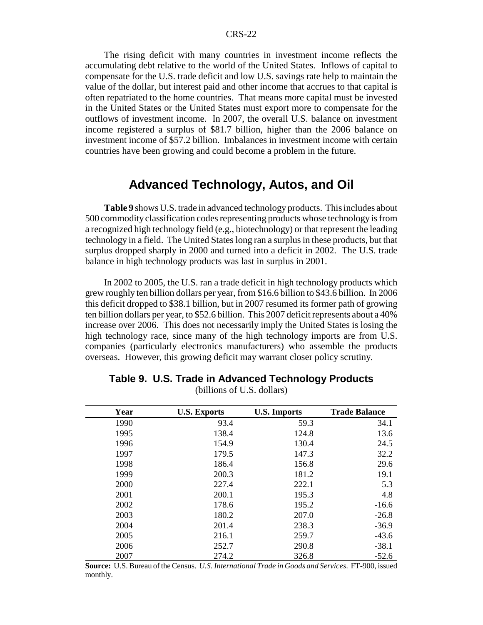The rising deficit with many countries in investment income reflects the accumulating debt relative to the world of the United States. Inflows of capital to compensate for the U.S. trade deficit and low U.S. savings rate help to maintain the value of the dollar, but interest paid and other income that accrues to that capital is often repatriated to the home countries. That means more capital must be invested in the United States or the United States must export more to compensate for the outflows of investment income. In 2007, the overall U.S. balance on investment income registered a surplus of \$81.7 billion, higher than the 2006 balance on investment income of \$57.2 billion. Imbalances in investment income with certain countries have been growing and could become a problem in the future.

# **Advanced Technology, Autos, and Oil**

**Table 9** shows U.S. trade in advanced technology products. This includes about 500 commodity classification codes representing products whose technology is from a recognized high technology field (e.g., biotechnology) or that represent the leading technology in a field. The United States long ran a surplus in these products, but that surplus dropped sharply in 2000 and turned into a deficit in 2002. The U.S. trade balance in high technology products was last in surplus in 2001.

In 2002 to 2005, the U.S. ran a trade deficit in high technology products which grew roughly ten billion dollars per year, from \$16.6 billion to \$43.6 billion. In 2006 this deficit dropped to \$38.1 billion, but in 2007 resumed its former path of growing ten billion dollars per year, to \$52.6 billion. This 2007 deficit represents about a 40% increase over 2006. This does not necessarily imply the United States is losing the high technology race, since many of the high technology imports are from U.S. companies (particularly electronics manufacturers) who assemble the products overseas. However, this growing deficit may warrant closer policy scrutiny.

| Year | <b>U.S. Exports</b> | <b>U.S. Imports</b> | <b>Trade Balance</b> |
|------|---------------------|---------------------|----------------------|
| 1990 | 93.4                | 59.3                | 34.1                 |
| 1995 | 138.4               | 124.8               | 13.6                 |
| 1996 | 154.9               | 130.4               | 24.5                 |
| 1997 | 179.5               | 147.3               | 32.2                 |
| 1998 | 186.4               | 156.8               | 29.6                 |
| 1999 | 200.3               | 181.2               | 19.1                 |
| 2000 | 227.4               | 222.1               | 5.3                  |
| 2001 | 200.1               | 195.3               | 4.8                  |
| 2002 | 178.6               | 195.2               | $-16.6$              |
| 2003 | 180.2               | 207.0               | $-26.8$              |
| 2004 | 201.4               | 238.3               | $-36.9$              |
| 2005 | 216.1               | 259.7               | $-43.6$              |
| 2006 | 252.7               | 290.8               | $-38.1$              |
| 2007 | 274.2               | 326.8               | $-52.6$              |

#### **Table 9. U.S. Trade in Advanced Technology Products**

(billions of U.S. dollars)

**Source:** U.S. Bureau of the Census. *U.S. International Trade in Goods and Services*. FT-900, issued monthly.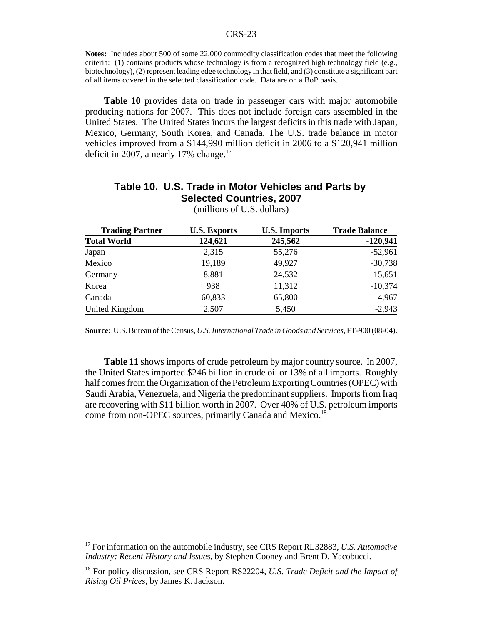**Notes:** Includes about 500 of some 22,000 commodity classification codes that meet the following criteria: (1) contains products whose technology is from a recognized high technology field (e.g., biotechnology), (2) represent leading edge technology in that field, and (3) constitute a significant part of all items covered in the selected classification code. Data are on a BoP basis.

**Table 10** provides data on trade in passenger cars with major automobile producing nations for 2007. This does not include foreign cars assembled in the United States. The United States incurs the largest deficits in this trade with Japan, Mexico, Germany, South Korea, and Canada. The U.S. trade balance in motor vehicles improved from a \$144,990 million deficit in 2006 to a \$120,941 million deficit in 2007, a nearly 17% change.<sup>17</sup>

# **Table 10. U.S. Trade in Motor Vehicles and Parts by Selected Countries, 2007**

| <b>Trading Partner</b> | <b>U.S. Exports</b> | <b>U.S. Imports</b> | <b>Trade Balance</b> |
|------------------------|---------------------|---------------------|----------------------|
| <b>Total World</b>     | 124,621             | 245,562             | $-120,941$           |
| Japan                  | 2,315               | 55,276              | $-52,961$            |
| Mexico                 | 19,189              | 49,927              | $-30,738$            |
| Germany                | 8,881               | 24,532              | $-15,651$            |
| Korea                  | 938                 | 11,312              | $-10,374$            |
| Canada                 | 60,833              | 65,800              | $-4,967$             |
| United Kingdom         | 2,507               | 5,450               | $-2,943$             |

(millions of U.S. dollars)

**Source:** U.S. Bureau of the Census, *U.S. International Trade in Goods and Services*, FT-900 (08-04).

**Table 11** shows imports of crude petroleum by major country source. In 2007, the United States imported \$246 billion in crude oil or 13% of all imports. Roughly half comes from the Organization of the Petroleum Exporting Countries (OPEC) with Saudi Arabia, Venezuela, and Nigeria the predominant suppliers. Imports from Iraq are recovering with \$11 billion worth in 2007. Over 40% of U.S. petroleum imports come from non-OPEC sources, primarily Canada and Mexico.<sup>18</sup>

<sup>17</sup> For information on the automobile industry, see CRS Report RL32883, *U.S. Automotive Industry: Recent History and Issues*, by Stephen Cooney and Brent D. Yacobucci.

<sup>18</sup> For policy discussion, see CRS Report RS22204, *U.S. Trade Deficit and the Impact of Rising Oil Prices*, by James K. Jackson.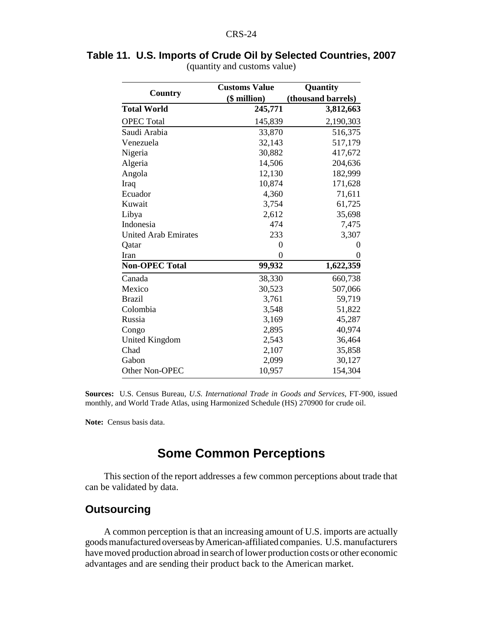|                             | <b>Customs Value</b> | <b>Quantity</b>        |  |
|-----------------------------|----------------------|------------------------|--|
| Country                     | (\$ million)         | (thousand barrels)     |  |
| <b>Total World</b>          | 245,771              | 3,812,663              |  |
| <b>OPEC</b> Total           | 145,839              | 2,190,303              |  |
| Saudi Arabia                | 33,870               | 516,375                |  |
| Venezuela                   | 32,143               | 517,179                |  |
| Nigeria                     | 30,882               | 417,672                |  |
| Algeria                     | 14,506               | 204,636                |  |
| Angola                      | 12,130               | 182,999                |  |
| Iraq                        | 10,874               | 171,628                |  |
| Ecuador                     | 4,360                | 71,611                 |  |
| Kuwait                      | 3,754                | 61,725                 |  |
| Libya                       | 2,612                | 35,698                 |  |
| Indonesia                   | 474                  | 7,475                  |  |
| <b>United Arab Emirates</b> | 233                  | 3,307                  |  |
| Qatar                       | $\overline{0}$       | 0                      |  |
| Iran                        | 0                    | 0                      |  |
| <b>Non-OPEC Total</b>       | 99,932               | $\overline{1,622,359}$ |  |
| Canada                      | 38,330               | 660,738                |  |
| Mexico                      | 30,523               | 507,066                |  |
| <b>Brazil</b>               | 3,761                | 59,719                 |  |
| Colombia                    | 3,548                | 51,822                 |  |
| Russia                      | 3,169                | 45,287                 |  |
| Congo                       | 2,895                | 40,974                 |  |
| United Kingdom              | 2,543                | 36,464                 |  |
| Chad                        | 2,107                | 35,858                 |  |
| Gabon                       | 2,099                | 30,127                 |  |
| Other Non-OPEC              | 10,957               | 154,304                |  |

**Table 11. U.S. Imports of Crude Oil by Selected Countries, 2007** (quantity and customs value)

**Sources:** U.S. Census Bureau, *U.S. International Trade in Goods and Services*, FT-900, issued monthly, and World Trade Atlas, using Harmonized Schedule (HS) 270900 for crude oil.

**Note:** Census basis data.

# **Some Common Perceptions**

This section of the report addresses a few common perceptions about trade that can be validated by data.

# **Outsourcing**

A common perception is that an increasing amount of U.S. imports are actually goods manufactured overseas by American-affiliated companies. U.S. manufacturers have moved production abroad in search of lower production costs or other economic advantages and are sending their product back to the American market.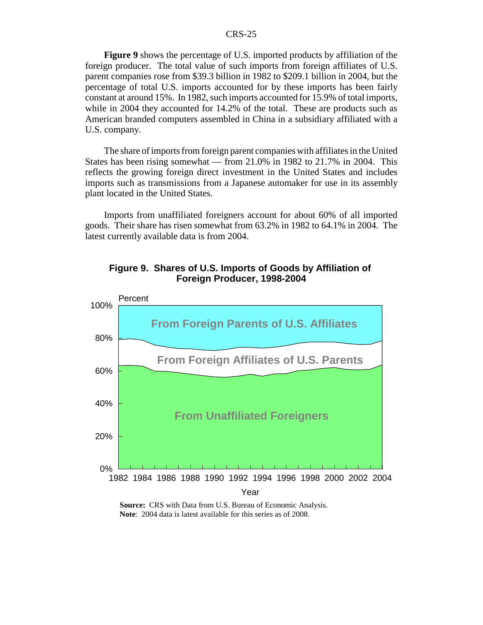**Figure 9** shows the percentage of U.S. imported products by affiliation of the foreign producer. The total value of such imports from foreign affiliates of U.S. parent companies rose from \$39.3 billion in 1982 to \$209.1 billion in 2004, but the percentage of total U.S. imports accounted for by these imports has been fairly constant at around 15%. In 1982, such imports accounted for 15.9% of total imports, while in 2004 they accounted for 14.2% of the total. These are products such as American branded computers assembled in China in a subsidiary affiliated with a U.S. company.

The share of imports from foreign parent companies with affiliates in the United States has been rising somewhat — from 21.0% in 1982 to 21.7% in 2004. This reflects the growing foreign direct investment in the United States and includes imports such as transmissions from a Japanese automaker for use in its assembly plant located in the United States.

Imports from unaffiliated foreigners account for about 60% of all imported goods. Their share has risen somewhat from 63.2% in 1982 to 64.1% in 2004. The latest currently available data is from 2004.



#### **Figure 9. Shares of U.S. Imports of Goods by Affiliation of Foreign Producer, 1998-2004**

**Source:** CRS with Data from U.S. Bureau of Economic Analysis. **Note**: 2004 data is latest available for this series as of 2008.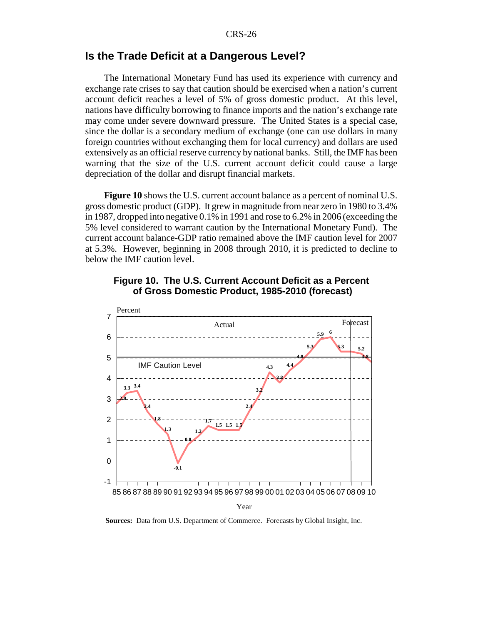#### **Is the Trade Deficit at a Dangerous Level?**

The International Monetary Fund has used its experience with currency and exchange rate crises to say that caution should be exercised when a nation's current account deficit reaches a level of 5% of gross domestic product. At this level, nations have difficulty borrowing to finance imports and the nation's exchange rate may come under severe downward pressure. The United States is a special case, since the dollar is a secondary medium of exchange (one can use dollars in many foreign countries without exchanging them for local currency) and dollars are used extensively as an official reserve currency by national banks. Still, the IMF has been warning that the size of the U.S. current account deficit could cause a large depreciation of the dollar and disrupt financial markets.

**Figure 10** shows the U.S. current account balance as a percent of nominal U.S. gross domestic product (GDP). It grew in magnitude from near zero in 1980 to 3.4% in 1987, dropped into negative 0.1% in 1991 and rose to 6.2% in 2006 (exceeding the 5% level considered to warrant caution by the International Monetary Fund). The current account balance-GDP ratio remained above the IMF caution level for 2007 at 5.3%. However, beginning in 2008 through 2010, it is predicted to decline to below the IMF caution level.



#### **Figure 10. The U.S. Current Account Deficit as a Percent of Gross Domestic Product, 1985-2010 (forecast)**

**Sources:** Data from U.S. Department of Commerce. Forecasts by Global Insight, Inc.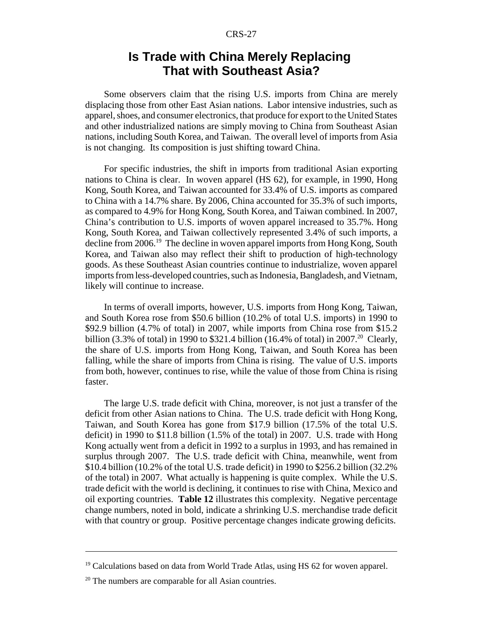# **Is Trade with China Merely Replacing That with Southeast Asia?**

Some observers claim that the rising U.S. imports from China are merely displacing those from other East Asian nations. Labor intensive industries, such as apparel, shoes, and consumer electronics, that produce for export to the United States and other industrialized nations are simply moving to China from Southeast Asian nations, including South Korea, and Taiwan. The overall level of imports from Asia is not changing. Its composition is just shifting toward China.

For specific industries, the shift in imports from traditional Asian exporting nations to China is clear. In woven apparel (HS 62), for example, in 1990, Hong Kong, South Korea, and Taiwan accounted for 33.4% of U.S. imports as compared to China with a 14.7% share. By 2006, China accounted for 35.3% of such imports, as compared to 4.9% for Hong Kong, South Korea, and Taiwan combined. In 2007, China's contribution to U.S. imports of woven apparel increased to 35.7%. Hong Kong, South Korea, and Taiwan collectively represented 3.4% of such imports, a decline from 2006.<sup>19</sup> The decline in woven apparel imports from Hong Kong, South Korea, and Taiwan also may reflect their shift to production of high-technology goods. As these Southeast Asian countries continue to industrialize, woven apparel imports from less-developed countries, such as Indonesia, Bangladesh, and Vietnam, likely will continue to increase.

In terms of overall imports, however, U.S. imports from Hong Kong, Taiwan, and South Korea rose from \$50.6 billion (10.2% of total U.S. imports) in 1990 to \$92.9 billion (4.7% of total) in 2007, while imports from China rose from \$15.2 billion (3.3% of total) in 1990 to \$321.4 billion (16.4% of total) in 2007.<sup>20</sup> Clearly, the share of U.S. imports from Hong Kong, Taiwan, and South Korea has been falling, while the share of imports from China is rising. The value of U.S. imports from both, however, continues to rise, while the value of those from China is rising faster.

The large U.S. trade deficit with China, moreover, is not just a transfer of the deficit from other Asian nations to China. The U.S. trade deficit with Hong Kong, Taiwan, and South Korea has gone from \$17.9 billion (17.5% of the total U.S. deficit) in 1990 to \$11.8 billion (1.5% of the total) in 2007. U.S. trade with Hong Kong actually went from a deficit in 1992 to a surplus in 1993, and has remained in surplus through 2007. The U.S. trade deficit with China, meanwhile, went from \$10.4 billion (10.2% of the total U.S. trade deficit) in 1990 to \$256.2 billion (32.2% of the total) in 2007. What actually is happening is quite complex. While the U.S. trade deficit with the world is declining, it continues to rise with China, Mexico and oil exporting countries. **Table 12** illustrates this complexity. Negative percentage change numbers, noted in bold, indicate a shrinking U.S. merchandise trade deficit with that country or group. Positive percentage changes indicate growing deficits.

 $19$  Calculations based on data from World Trade Atlas, using HS 62 for woven apparel.

 $20$  The numbers are comparable for all Asian countries.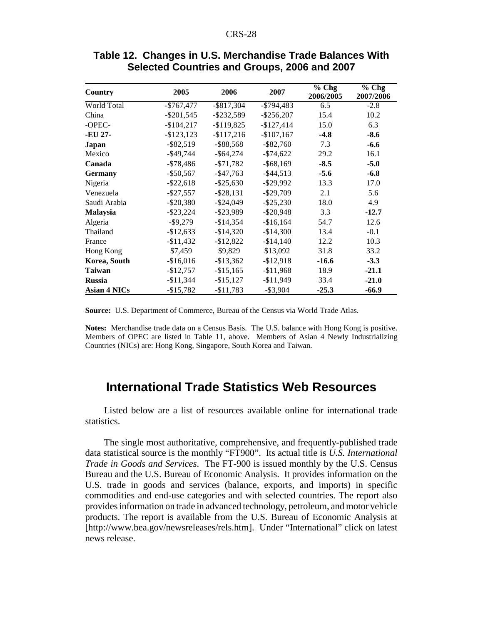| Country             | 2005          | 2006          | 2007          | $%$ Chg<br>2006/2005 | $%$ Chg<br>2007/2006 |
|---------------------|---------------|---------------|---------------|----------------------|----------------------|
| World Total         | $-$767,477$   | $-$ \$817,304 | $-$794,483$   | 6.5                  | $-2.8$               |
| China               | $-$ \$201,545 | $-$ \$232,589 | $-$ \$256,207 | 15.4                 | 10.2                 |
| -OPEC-              | $-$104,217$   | $-$ \$119,825 | $-$127,414$   | 15.0                 | 6.3                  |
| -EU 27-             | $-$123,123$   | $-$117,216$   | $-$107,167$   | $-4.8$               | $-8.6$               |
| Japan               | $-$ \$82,519  | $-$ \$88,568  | $-$ \$82,760  | 7.3                  | $-6.6$               |
| Mexico              | $-$ \$49,744  | $-$ \$64,274  | $-\$74,622$   | 29.2                 | 16.1                 |
| Canada              | -\$78,486     | $- $71,782$   | $-$ \$68,169  | $-8.5$               | $-5.0$               |
| <b>Germany</b>      | $-$ \$50,567  | $-$ \$47,763  | $-$ \$44,513  | $-5.6$               | $-6.8$               |
| Nigeria             | $-$ \$22,618  | $-$ \$25,630  | $-$ \$29,992  | 13.3                 | 17.0                 |
| Venezuela           | $-$ \$27,557  | $-$ \$28,131  | $-$ \$29,709  | 2.1                  | 5.6                  |
| Saudi Arabia        | $-$ \$20,380  | $-$ \$24,049  | $-$ \$25,230  | 18.0                 | 4.9                  |
| Malaysia            | $-$ \$23,224  | $-$ \$23,989  | $-$ \$20,948  | 3.3                  | $-12.7$              |
| Algeria             | $-$ \$9,279   | $-$14,354$    | $-$16,164$    | 54.7                 | 12.6                 |
| Thailand            | $-$12,633$    | $-$14,320$    | $-$14,300$    | 13.4                 | $-0.1$               |
| France              | $-$11,432$    | $-$12,822$    | $-$14,140$    | 12.2                 | 10.3                 |
| Hong Kong           | \$7,459       | \$9,829       | \$13,092      | 31.8                 | 33.2                 |
| Korea, South        | $-$16,016$    | $-$13,362$    | $-$12,918$    | $-16.6$              | $-3.3$               |
| <b>Taiwan</b>       | $-$12,757$    | $-$15,165$    | $-$11,968$    | 18.9                 | $-21.1$              |
| <b>Russia</b>       | $-$11,344$    | $-$15,127$    | $-$11,949$    | 33.4                 | $-21.0$              |
| <b>Asian 4 NICs</b> | $-$15,782$    | $-$11,783$    | $-$ \$3,904   | $-25.3$              | $-66.9$              |

#### **Table 12. Changes in U.S. Merchandise Trade Balances With Selected Countries and Groups, 2006 and 2007**

**Source:** U.S. Department of Commerce, Bureau of the Census via World Trade Atlas.

**Notes:** Merchandise trade data on a Census Basis. The U.S. balance with Hong Kong is positive. Members of OPEC are listed in Table 11, above. Members of Asian 4 Newly Industrializing Countries (NICs) are: Hong Kong, Singapore, South Korea and Taiwan.

# **International Trade Statistics Web Resources**

Listed below are a list of resources available online for international trade statistics.

The single most authoritative, comprehensive, and frequently-published trade data statistical source is the monthly "FT900". Its actual title is *U.S. International Trade in Goods and Services*. The FT-900 is issued monthly by the U.S. Census Bureau and the U.S. Bureau of Economic Analysis. It provides information on the U.S. trade in goods and services (balance, exports, and imports) in specific commodities and end-use categories and with selected countries. The report also provides information on trade in advanced technology, petroleum, and motor vehicle products. The report is available from the U.S. Bureau of Economic Analysis at [http://www.bea.gov/newsreleases/rels.htm]. Under "International" click on latest news release.